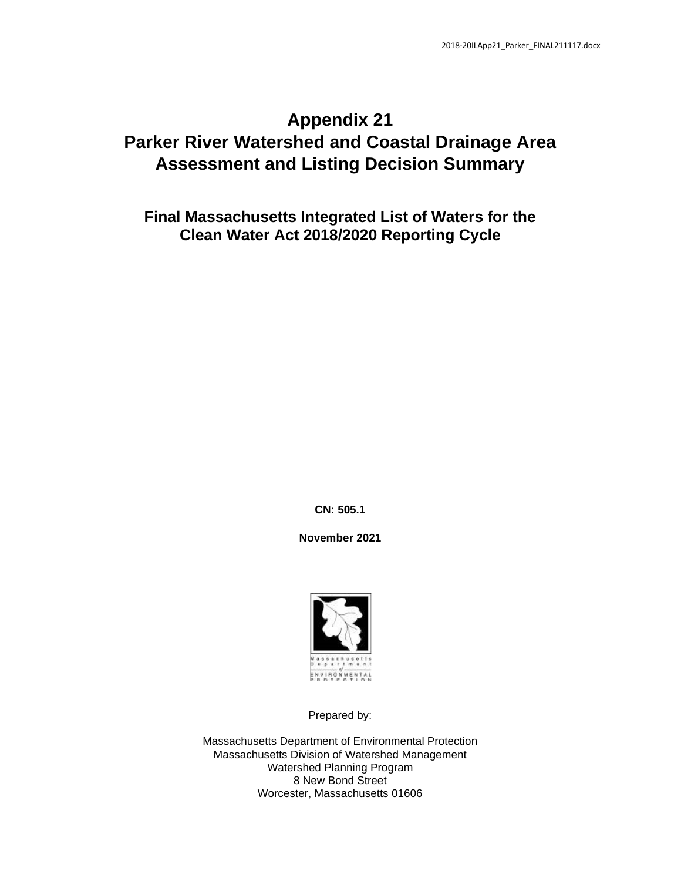# **Appendix 21 Parker River Watershed and Coastal Drainage Area Assessment and Listing Decision Summary**

**Final Massachusetts Integrated List of Waters for the Clean Water Act 2018/2020 Reporting Cycle**

**CN: 505.1**

**November 2021**



Prepared by:

Massachusetts Department of Environmental Protection Massachusetts Division of Watershed Management Watershed Planning Program 8 New Bond Street Worcester, Massachusetts 01606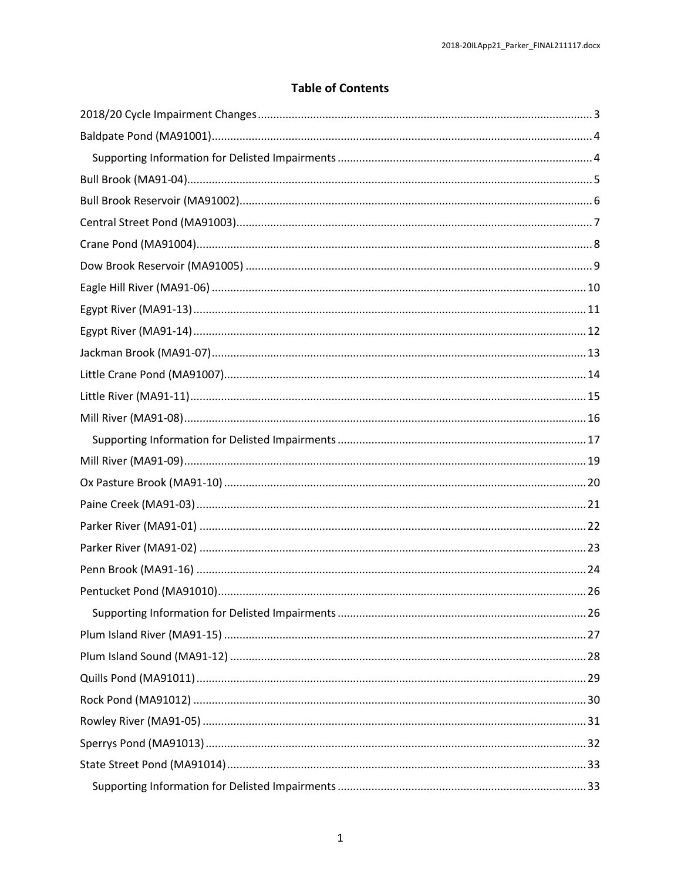## **Table of Contents**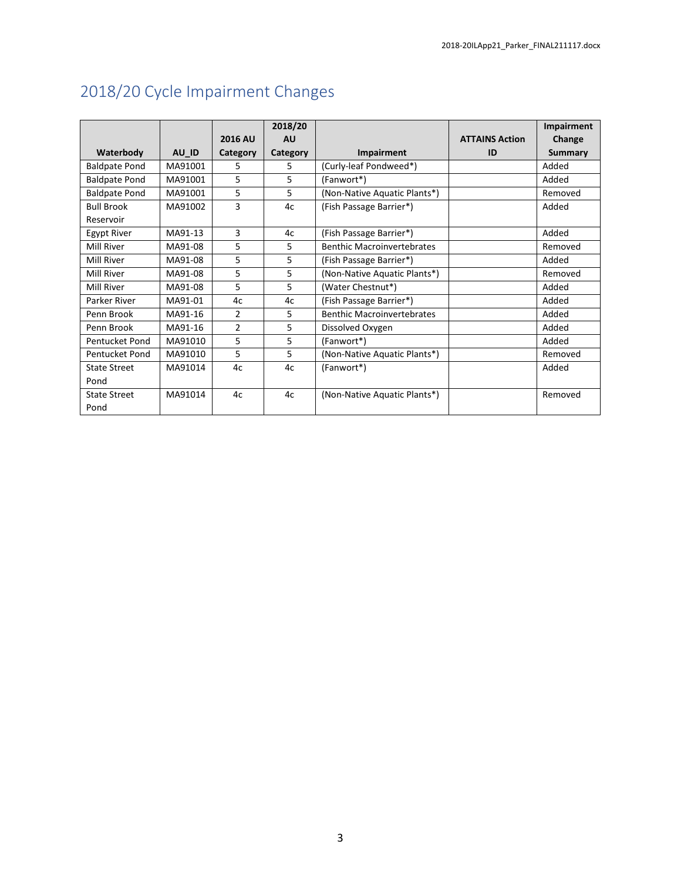|                      |         |                | 2018/20   |                                   |                       | Impairment     |
|----------------------|---------|----------------|-----------|-----------------------------------|-----------------------|----------------|
|                      |         | <b>2016 AU</b> | <b>AU</b> |                                   | <b>ATTAINS Action</b> | Change         |
| Waterbody            | AU ID   | Category       | Category  | Impairment                        | ID                    | <b>Summary</b> |
| <b>Baldpate Pond</b> | MA91001 | 5              | 5.        | (Curly-leaf Pondweed*)            |                       | Added          |
| <b>Baldpate Pond</b> | MA91001 | 5              | 5         | (Fanwort*)                        |                       | Added          |
| <b>Baldpate Pond</b> | MA91001 | 5              | 5         | (Non-Native Aquatic Plants*)      |                       | Removed        |
| <b>Bull Brook</b>    | MA91002 | 3              | 4c        | (Fish Passage Barrier*)           |                       | Added          |
| Reservoir            |         |                |           |                                   |                       |                |
| Egypt River          | MA91-13 | 3              | 4c        | (Fish Passage Barrier*)           |                       | Added          |
| Mill River           | MA91-08 | 5              | 5         | <b>Benthic Macroinvertebrates</b> |                       | Removed        |
| Mill River           | MA91-08 | 5              | 5         | (Fish Passage Barrier*)           |                       | Added          |
| Mill River           | MA91-08 | 5              | 5         | (Non-Native Aquatic Plants*)      |                       | Removed        |
| Mill River           | MA91-08 | 5              | 5         | (Water Chestnut*)                 |                       | Added          |
| Parker River         | MA91-01 | 4c             | 4c        | (Fish Passage Barrier*)           |                       | Added          |
| Penn Brook           | MA91-16 | $\overline{2}$ | 5         | <b>Benthic Macroinvertebrates</b> |                       | Added          |
| Penn Brook           | MA91-16 | $\overline{2}$ | 5         | Dissolved Oxygen                  |                       | Added          |
| Pentucket Pond       | MA91010 | 5              | 5         | (Fanwort*)                        |                       | Added          |
| Pentucket Pond       | MA91010 | 5              | 5         | (Non-Native Aquatic Plants*)      |                       | Removed        |
| <b>State Street</b>  | MA91014 | 4c             | 4c        | (Fanwort*)                        |                       | Added          |
| Pond                 |         |                |           |                                   |                       |                |
| <b>State Street</b>  | MA91014 | 4c             | 4c        | (Non-Native Aquatic Plants*)      |                       | Removed        |
| Pond                 |         |                |           |                                   |                       |                |

# <span id="page-3-0"></span>2018/20 Cycle Impairment Changes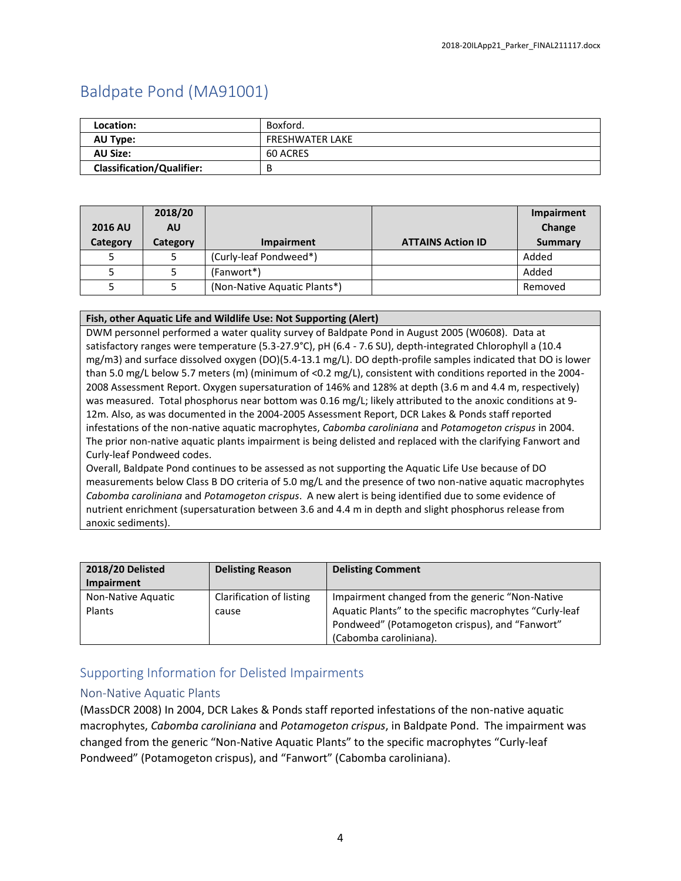## <span id="page-4-0"></span>Baldpate Pond (MA91001)

| Location:                        | Boxford.               |
|----------------------------------|------------------------|
| AU Type:                         | <b>FRESHWATER LAKE</b> |
| <b>AU Size:</b>                  | 60 ACRES               |
| <b>Classification/Qualifier:</b> |                        |

| <b>2016 AU</b><br>Category | 2018/20<br><b>AU</b><br>Category | Impairment                   | <b>ATTAINS Action ID</b> | Impairment<br>Change<br><b>Summary</b> |
|----------------------------|----------------------------------|------------------------------|--------------------------|----------------------------------------|
|                            |                                  | (Curly-leaf Pondweed*)       |                          | Added                                  |
|                            |                                  | (Fanwort*)                   |                          | Added                                  |
|                            |                                  | (Non-Native Aquatic Plants*) |                          | Removed                                |

### **Fish, other Aquatic Life and Wildlife Use: Not Supporting (Alert)**

DWM personnel performed a water quality survey of Baldpate Pond in August 2005 (W0608). Data at satisfactory ranges were temperature (5.3-27.9°C), pH (6.4 - 7.6 SU), depth-integrated Chlorophyll a (10.4 mg/m3) and surface dissolved oxygen (DO)(5.4-13.1 mg/L). DO depth-profile samples indicated that DO is lower than 5.0 mg/L below 5.7 meters (m) (minimum of <0.2 mg/L), consistent with conditions reported in the 2004- 2008 Assessment Report. Oxygen supersaturation of 146% and 128% at depth (3.6 m and 4.4 m, respectively) was measured. Total phosphorus near bottom was 0.16 mg/L; likely attributed to the anoxic conditions at 9- 12m. Also, as was documented in the 2004-2005 Assessment Report, DCR Lakes & Ponds staff reported infestations of the non-native aquatic macrophytes, *Cabomba caroliniana* and *Potamogeton crispus* in 2004. The prior non-native aquatic plants impairment is being delisted and replaced with the clarifying Fanwort and Curly-leaf Pondweed codes.

Overall, Baldpate Pond continues to be assessed as not supporting the Aquatic Life Use because of DO measurements below Class B DO criteria of 5.0 mg/L and the presence of two non-native aquatic macrophytes *Cabomba caroliniana* and *Potamogeton crispus*. A new alert is being identified due to some evidence of nutrient enrichment (supersaturation between 3.6 and 4.4 m in depth and slight phosphorus release from anoxic sediments).

| <b>2018/20 Delisted</b><br><b>Impairment</b> | <b>Delisting Reason</b>           | <b>Delisting Comment</b>                                                                                                                                                                |
|----------------------------------------------|-----------------------------------|-----------------------------------------------------------------------------------------------------------------------------------------------------------------------------------------|
| Non-Native Aquatic<br>Plants                 | Clarification of listing<br>cause | Impairment changed from the generic "Non-Native"<br>Aquatic Plants" to the specific macrophytes "Curly-leaf<br>Pondweed" (Potamogeton crispus), and "Fanwort"<br>(Cabomba caroliniana). |

## <span id="page-4-1"></span>Supporting Information for Delisted Impairments

## Non-Native Aquatic Plants

(MassDCR 2008) In 2004, DCR Lakes & Ponds staff reported infestations of the non-native aquatic macrophytes, *Cabomba caroliniana* and *Potamogeton crispus*, in Baldpate Pond. The impairment was changed from the generic "Non-Native Aquatic Plants" to the specific macrophytes "Curly-leaf Pondweed" (Potamogeton crispus), and "Fanwort" (Cabomba caroliniana).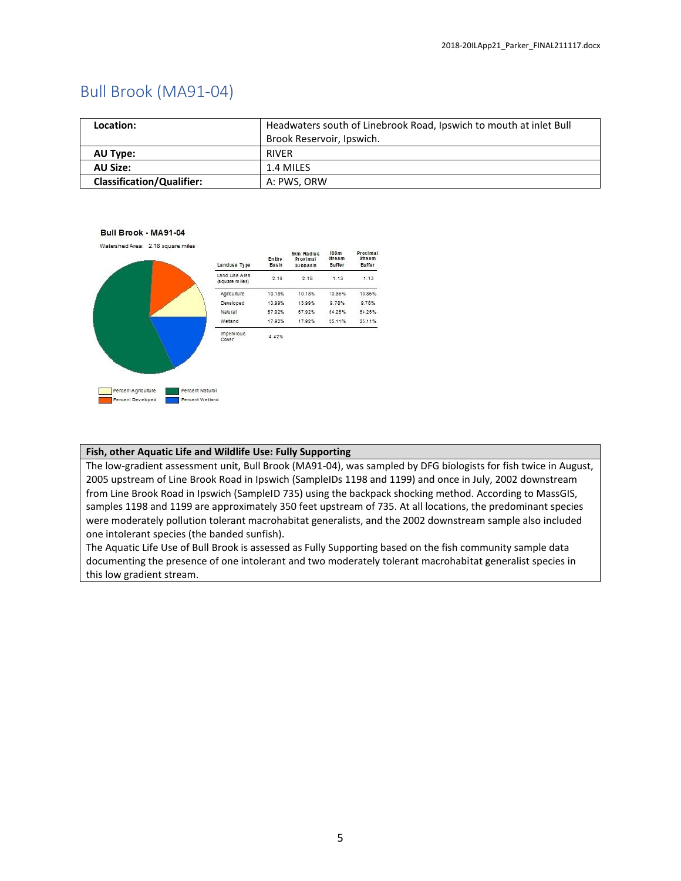## <span id="page-5-0"></span>Bull Brook (MA91-04)

| Location:                        | Headwaters south of Linebrook Road, Ipswich to mouth at inlet Bull |
|----------------------------------|--------------------------------------------------------------------|
|                                  | Brook Reservoir, Ipswich.                                          |
| AU Type:                         | <b>RIVER</b>                                                       |
| <b>AU Size:</b>                  | 1.4 MILES                                                          |
| <b>Classification/Qualifier:</b> | A: PWS. ORW                                                        |

#### Bull Brook - MA91-04

Watershed Area: 2.18 square miles





### **Fish, other Aquatic Life and Wildlife Use: Fully Supporting**

The low-gradient assessment unit, Bull Brook (MA91-04), was sampled by DFG biologists for fish twice in August, 2005 upstream of Line Brook Road in Ipswich (SampleIDs 1198 and 1199) and once in July, 2002 downstream from Line Brook Road in Ipswich (SampleID 735) using the backpack shocking method. According to MassGIS, samples 1198 and 1199 are approximately 350 feet upstream of 735. At all locations, the predominant species were moderately pollution tolerant macrohabitat generalists, and the 2002 downstream sample also included one intolerant species (the banded sunfish).

The Aquatic Life Use of Bull Brook is assessed as Fully Supporting based on the fish community sample data documenting the presence of one intolerant and two moderately tolerant macrohabitat generalist species in this low gradient stream.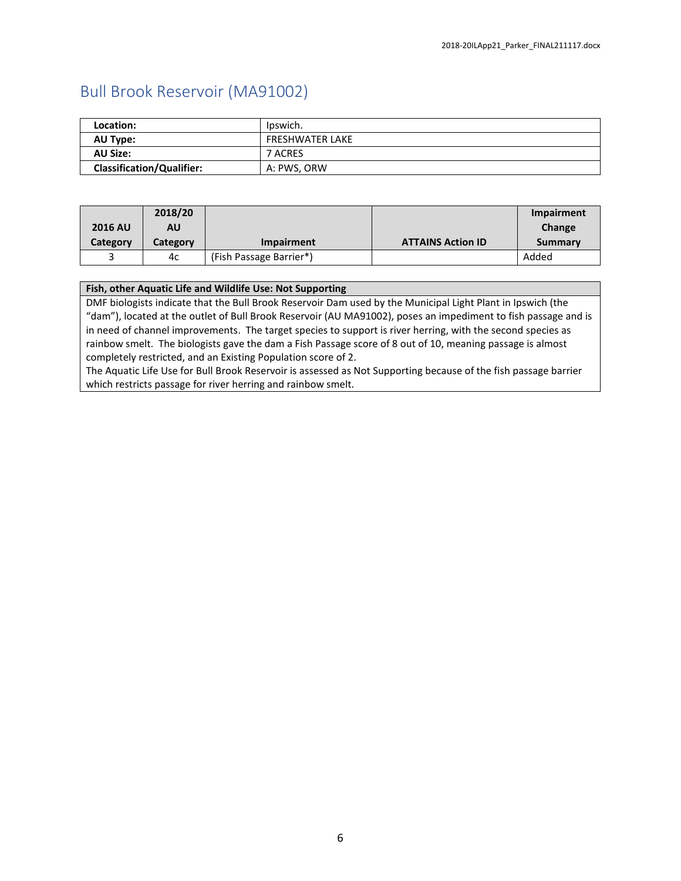## <span id="page-6-0"></span>Bull Brook Reservoir (MA91002)

| Location:                        | lpswich.               |
|----------------------------------|------------------------|
| AU Type:                         | <b>FRESHWATER LAKE</b> |
| <b>AU Size:</b>                  | 7 ACRES                |
| <b>Classification/Qualifier:</b> | A: PWS, ORW            |

|                | 2018/20  |                         |                          | Impairment |
|----------------|----------|-------------------------|--------------------------|------------|
| <b>2016 AU</b> | AU       |                         |                          | Change     |
| Category       | Category | Impairment              | <b>ATTAINS Action ID</b> | Summary    |
|                | 4c       | (Fish Passage Barrier*) |                          | Added      |

### **Fish, other Aquatic Life and Wildlife Use: Not Supporting**

DMF biologists indicate that the Bull Brook Reservoir Dam used by the Municipal Light Plant in Ipswich (the "dam"), located at the outlet of Bull Brook Reservoir (AU MA91002), poses an impediment to fish passage and is in need of channel improvements. The target species to support is river herring, with the second species as rainbow smelt. The biologists gave the dam a Fish Passage score of 8 out of 10, meaning passage is almost completely restricted, and an Existing Population score of 2.

The Aquatic Life Use for Bull Brook Reservoir is assessed as Not Supporting because of the fish passage barrier which restricts passage for river herring and rainbow smelt.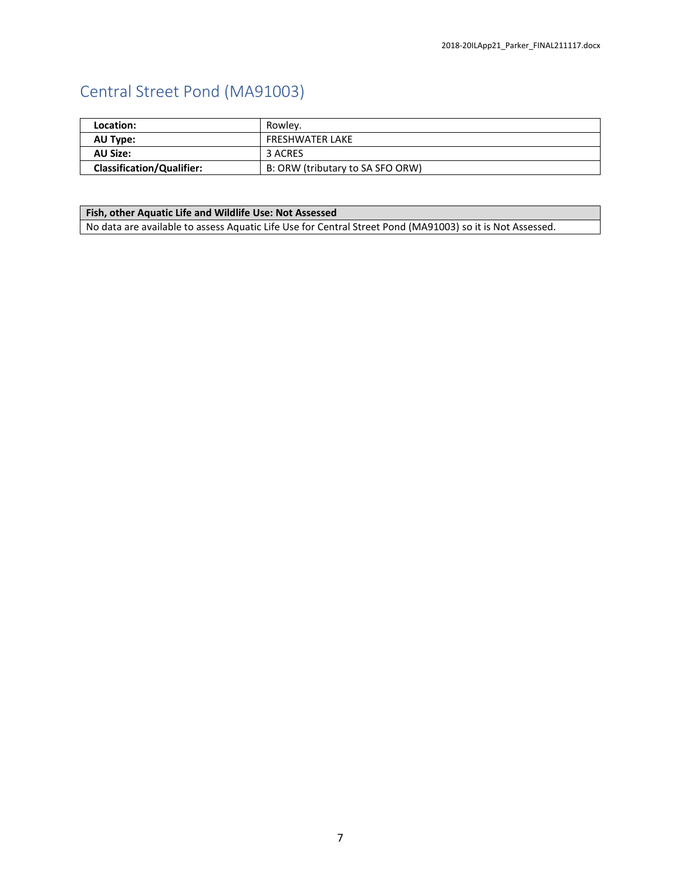# <span id="page-7-0"></span>Central Street Pond (MA91003)

| Location:                        | Rowley.                          |
|----------------------------------|----------------------------------|
| AU Type:                         | <b>FRESHWATER LAKE</b>           |
| AU Size:                         | 3 ACRES                          |
| <b>Classification/Qualifier:</b> | B: ORW (tributary to SA SFO ORW) |

## **Fish, other Aquatic Life and Wildlife Use: Not Assessed**

No data are available to assess Aquatic Life Use for Central Street Pond (MA91003) so it is Not Assessed.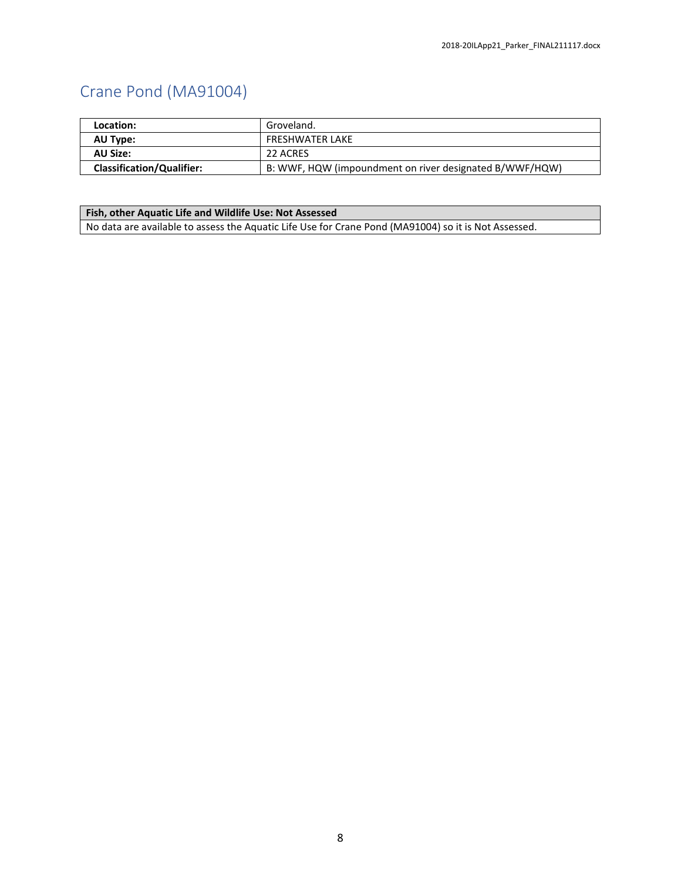# <span id="page-8-0"></span>Crane Pond (MA91004)

| Location:                        | Groveland.                                              |
|----------------------------------|---------------------------------------------------------|
| AU Type:                         | FRESHWATER LAKE                                         |
| AU Size:                         | 22 ACRES                                                |
| <b>Classification/Qualifier:</b> | B: WWF, HQW (impoundment on river designated B/WWF/HQW) |

### **Fish, other Aquatic Life and Wildlife Use: Not Assessed**

No data are available to assess the Aquatic Life Use for Crane Pond (MA91004) so it is Not Assessed.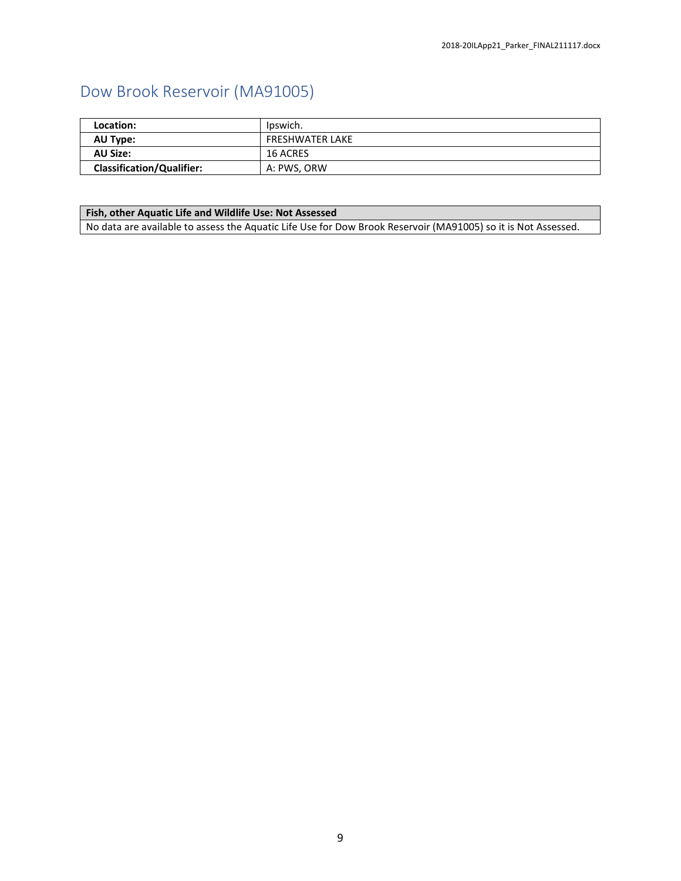# <span id="page-9-0"></span>Dow Brook Reservoir (MA91005)

| Location:                        | lpswich.        |
|----------------------------------|-----------------|
| AU Type:                         | FRESHWATER LAKE |
| <b>AU Size:</b>                  | 16 ACRES        |
| <b>Classification/Qualifier:</b> | A: PWS, ORW     |

### **Fish, other Aquatic Life and Wildlife Use: Not Assessed**

No data are available to assess the Aquatic Life Use for Dow Brook Reservoir (MA91005) so it is Not Assessed.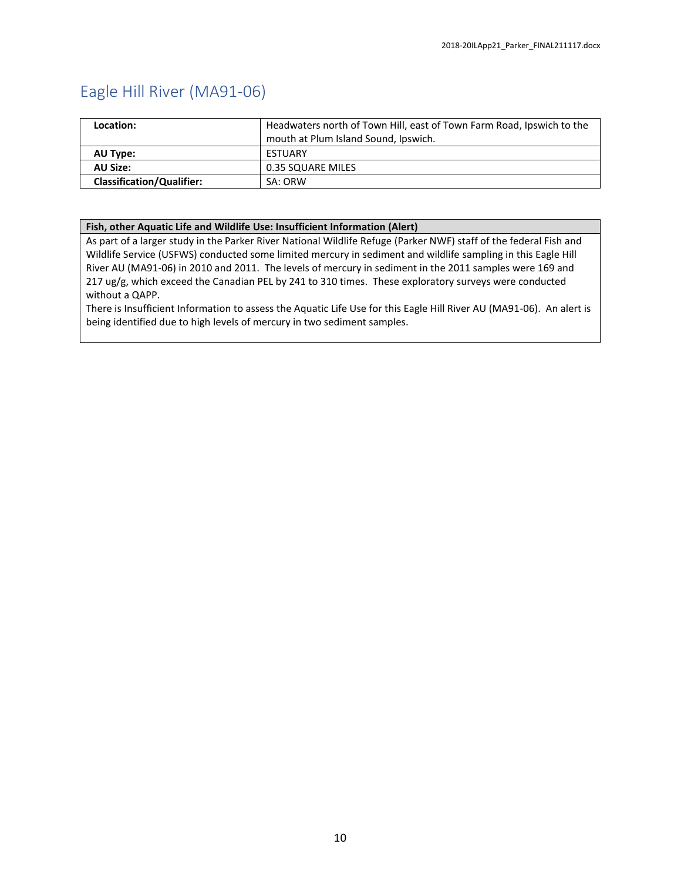## <span id="page-10-0"></span>Eagle Hill River (MA91-06)

| Location:                        | Headwaters north of Town Hill, east of Town Farm Road, Ipswich to the |  |  |
|----------------------------------|-----------------------------------------------------------------------|--|--|
|                                  | mouth at Plum Island Sound, Ipswich.                                  |  |  |
| AU Type:                         | <b>ESTUARY</b>                                                        |  |  |
| <b>AU Size:</b>                  | 0.35 SQUARE MILES                                                     |  |  |
| <b>Classification/Qualifier:</b> | SA: ORW                                                               |  |  |

### **Fish, other Aquatic Life and Wildlife Use: Insufficient Information (Alert)**

As part of a larger study in the Parker River National Wildlife Refuge (Parker NWF) staff of the federal Fish and Wildlife Service (USFWS) conducted some limited mercury in sediment and wildlife sampling in this Eagle Hill River AU (MA91-06) in 2010 and 2011. The levels of mercury in sediment in the 2011 samples were 169 and 217 ug/g, which exceed the Canadian PEL by 241 to 310 times. These exploratory surveys were conducted without a QAPP.

There is Insufficient Information to assess the Aquatic Life Use for this Eagle Hill River AU (MA91-06). An alert is being identified due to high levels of mercury in two sediment samples.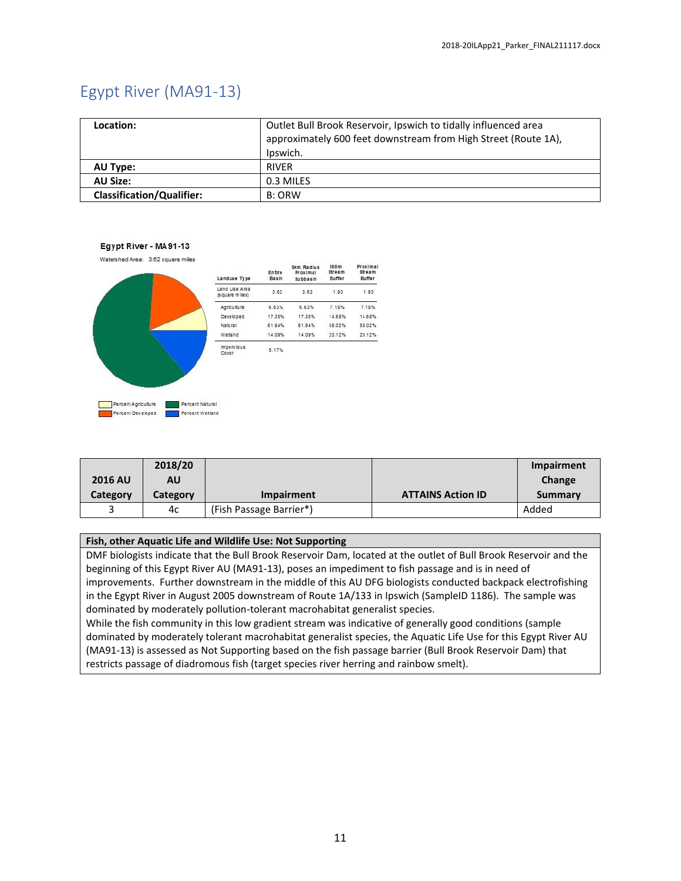## <span id="page-11-0"></span>Egypt River (MA91-13)

| Location:                        | Outlet Bull Brook Reservoir, Ipswich to tidally influenced area<br>approximately 600 feet downstream from High Street (Route 1A),<br>Ipswich. |
|----------------------------------|-----------------------------------------------------------------------------------------------------------------------------------------------|
| AU Type:                         | <b>RIVER</b>                                                                                                                                  |
| <b>AU Size:</b>                  | 0.3 MILES                                                                                                                                     |
| <b>Classification/Qualifier:</b> | B: ORW                                                                                                                                        |

 $100m$ 

Proximal

#### Egypt River - MA 91-13

Watershed Area: 3.62 square miles

|                     | Landuse Ty                                     |
|---------------------|------------------------------------------------|
|                     | Land Use A<br>(square mile                     |
|                     | Agriculture<br>Developed<br>Natural<br>Wetland |
|                     | impervious<br>Cover                            |
| Percent Agriculture | Percent Natural                                |

| Landuse Type                     | Entire<br>Basin | Proximal<br><b>Subbasin</b> | stream<br>Buffer | stream<br>Buffer |
|----------------------------------|-----------------|-----------------------------|------------------|------------------|
| Land Use Area<br>(square milles) | 3.62            | 3.62                        | 1.93             | 1.93             |
| Agriculture                      | 6.63%           | 6.63%                       | 7.18%            | 7.18%            |
| Developed                        | 17.35%          | 17.35%                      | 14.68%           | 14.68%           |
| Natural                          | 6194%           | 61.94%                      | 58.02%           | 58.02%           |
| Wetland                          | 14.09%          | 14.09%                      | 20.12%           | 20.12%           |
| impervious<br>Coupe              | 5.17%           |                             |                  |                  |

Skm Radius

|                | 2018/20  |                         |                          | Impairment |
|----------------|----------|-------------------------|--------------------------|------------|
| <b>2016 AU</b> | AU       |                         |                          | Change     |
| Category       | Category | Impairment              | <b>ATTAINS Action ID</b> | Summary    |
|                | 4c       | (Fish Passage Barrier*) |                          | Added      |

#### **Fish, other Aquatic Life and Wildlife Use: Not Supporting**

DMF biologists indicate that the Bull Brook Reservoir Dam, located at the outlet of Bull Brook Reservoir and the beginning of this Egypt River AU (MA91-13), poses an impediment to fish passage and is in need of improvements. Further downstream in the middle of this AU DFG biologists conducted backpack electrofishing in the Egypt River in August 2005 downstream of Route 1A/133 in Ipswich (SampleID 1186). The sample was dominated by moderately pollution-tolerant macrohabitat generalist species.

While the fish community in this low gradient stream was indicative of generally good conditions (sample dominated by moderately tolerant macrohabitat generalist species, the Aquatic Life Use for this Egypt River AU (MA91-13) is assessed as Not Supporting based on the fish passage barrier (Bull Brook Reservoir Dam) that restricts passage of diadromous fish (target species river herring and rainbow smelt).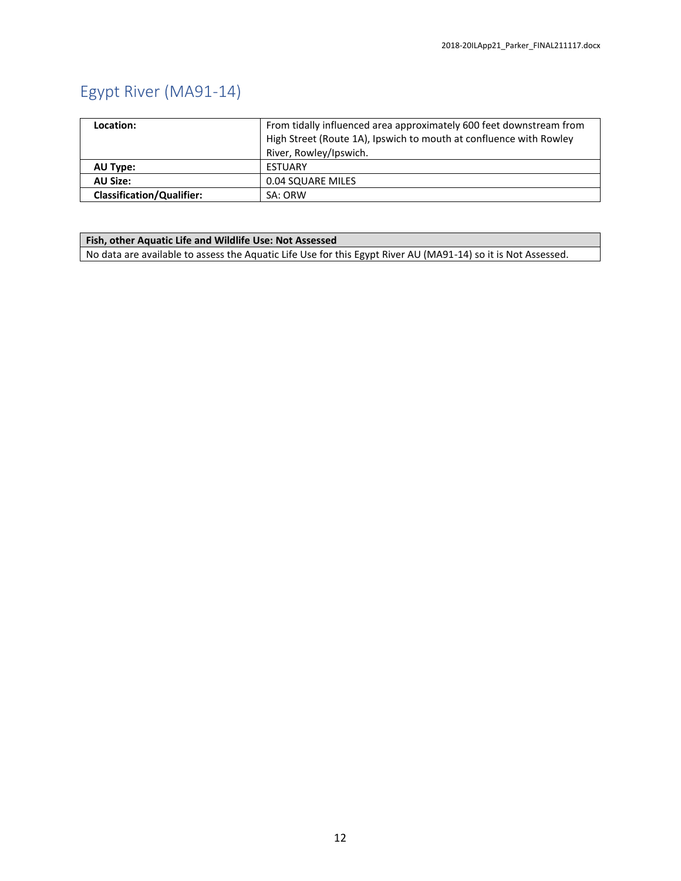# <span id="page-12-0"></span>Egypt River (MA91-14)

| Location:                        | From tidally influenced area approximately 600 feet downstream from<br>High Street (Route 1A), Ipswich to mouth at confluence with Rowley |
|----------------------------------|-------------------------------------------------------------------------------------------------------------------------------------------|
|                                  | River, Rowley/Ipswich.                                                                                                                    |
| AU Type:                         | <b>ESTUARY</b>                                                                                                                            |
| <b>AU Size:</b>                  | 0.04 SQUARE MILES                                                                                                                         |
| <b>Classification/Qualifier:</b> | SA: ORW                                                                                                                                   |

## **Fish, other Aquatic Life and Wildlife Use: Not Assessed**

No data are available to assess the Aquatic Life Use for this Egypt River AU (MA91-14) so it is Not Assessed.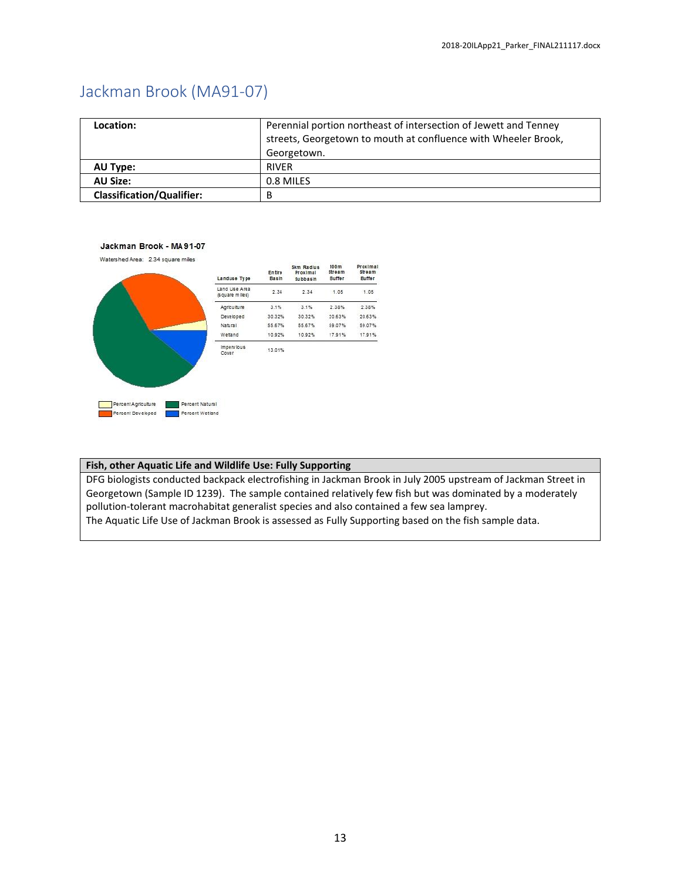## <span id="page-13-0"></span>Jackman Brook (MA91-07)

| Location:                        | Perennial portion northeast of intersection of Jewett and Tenney<br>streets, Georgetown to mouth at confluence with Wheeler Brook, |
|----------------------------------|------------------------------------------------------------------------------------------------------------------------------------|
|                                  | Georgetown.                                                                                                                        |
| AU Type:                         | <b>RIVER</b>                                                                                                                       |
| <b>AU Size:</b>                  | 0.8 MILES                                                                                                                          |
| <b>Classification/Qualifier:</b> | В                                                                                                                                  |

Proximal<br>Stream<br>Buffer

1.05

2.38%

20.63%

59.07%

17.91%

#### Jackman Brook - MA91-07

Watershed Area: 2.34 square miles





Percent Natural

## **Fish, other Aquatic Life and Wildlife Use: Fully Supporting**

DFG biologists conducted backpack electrofishing in Jackman Brook in July 2005 upstream of Jackman Street in Georgetown (Sample ID 1239). The sample contained relatively few fish but was dominated by a moderately pollution-tolerant macrohabitat generalist species and also contained a few sea lamprey. The Aquatic Life Use of Jackman Brook is assessed as Fully Supporting based on the fish sample data.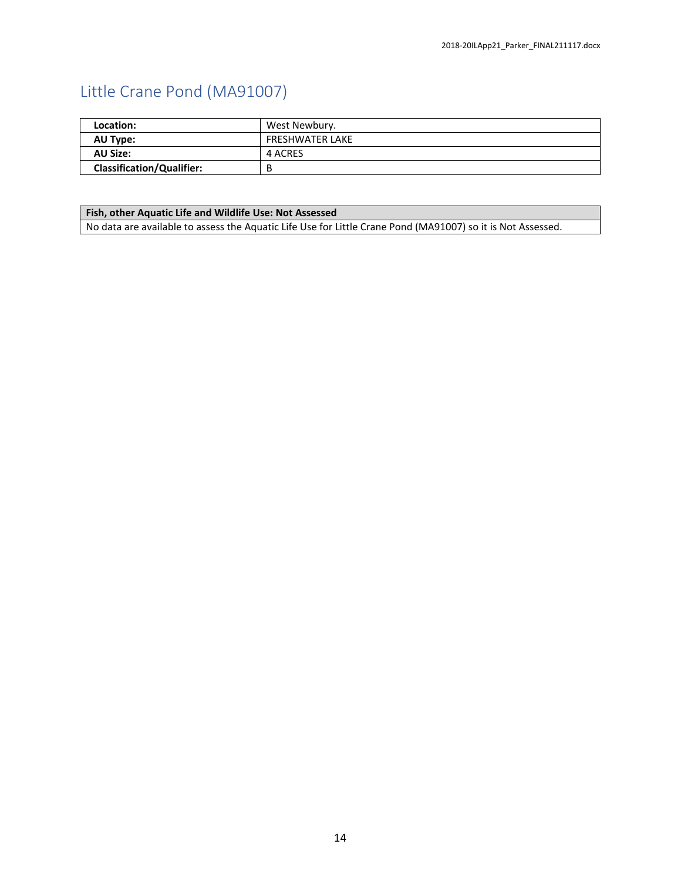# <span id="page-14-0"></span>Little Crane Pond (MA91007)

| Location:                        | West Newbury.   |
|----------------------------------|-----------------|
| AU Type:                         | FRESHWATER LAKE |
| <b>AU Size:</b>                  | 4 ACRES         |
| <b>Classification/Qualifier:</b> |                 |

### **Fish, other Aquatic Life and Wildlife Use: Not Assessed**

No data are available to assess the Aquatic Life Use for Little Crane Pond (MA91007) so it is Not Assessed.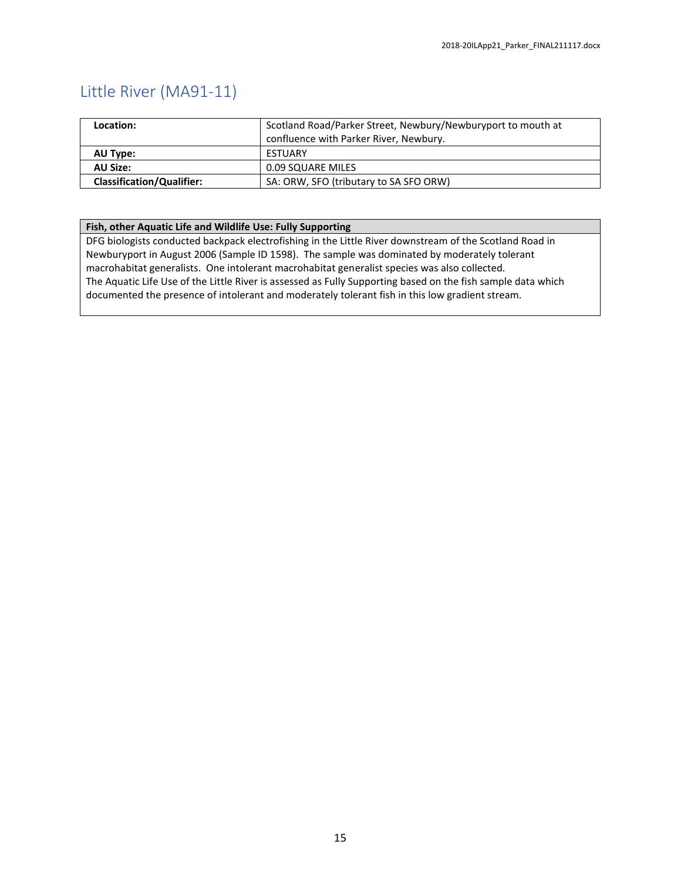## <span id="page-15-0"></span>Little River (MA91-11)

| Location:                        | Scotland Road/Parker Street, Newbury/Newburyport to mouth at<br>confluence with Parker River, Newbury. |
|----------------------------------|--------------------------------------------------------------------------------------------------------|
| AU Type:                         | <b>ESTUARY</b>                                                                                         |
| AU Size:                         | 0.09 SQUARE MILES                                                                                      |
| <b>Classification/Qualifier:</b> | SA: ORW, SFO (tributary to SA SFO ORW)                                                                 |

### **Fish, other Aquatic Life and Wildlife Use: Fully Supporting**

DFG biologists conducted backpack electrofishing in the Little River downstream of the Scotland Road in Newburyport in August 2006 (Sample ID 1598). The sample was dominated by moderately tolerant macrohabitat generalists. One intolerant macrohabitat generalist species was also collected. The Aquatic Life Use of the Little River is assessed as Fully Supporting based on the fish sample data which documented the presence of intolerant and moderately tolerant fish in this low gradient stream.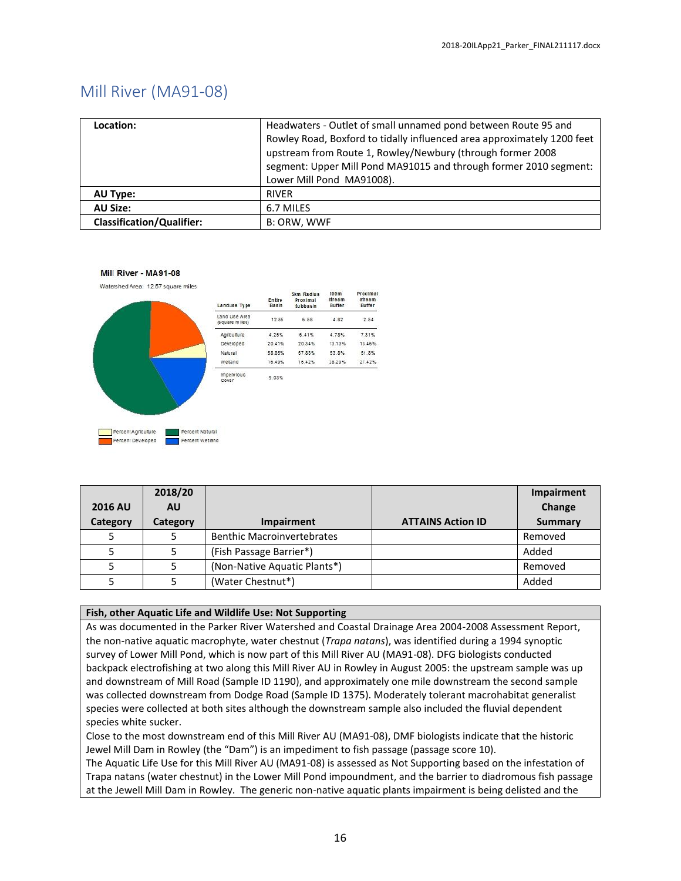## <span id="page-16-0"></span>Mill River (MA91-08)

| Location:                        | Headwaters - Outlet of small unnamed pond between Route 95 and<br>Rowley Road, Boxford to tidally influenced area approximately 1200 feet<br>upstream from Route 1, Rowley/Newbury (through former 2008<br>segment: Upper Mill Pond MA91015 and through former 2010 segment:<br>Lower Mill Pond MA91008). |
|----------------------------------|-----------------------------------------------------------------------------------------------------------------------------------------------------------------------------------------------------------------------------------------------------------------------------------------------------------|
| <b>AU Type:</b>                  | <b>RIVER</b>                                                                                                                                                                                                                                                                                              |
| <b>AU Size:</b>                  | 6.7 MILES                                                                                                                                                                                                                                                                                                 |
| <b>Classification/Qualifier:</b> | B: ORW, WWF                                                                                                                                                                                                                                                                                               |

#### Mill River - MA91-08

Percent Developed

Watershed Area: 12.57 square miles



Percent Wetland

| Landuse Type                     | Entire<br>Basin | .<br>Proximal<br><b>Subbasin</b> | <b>Stream</b><br>Buffer | <b>stream</b><br>Buffer |
|----------------------------------|-----------------|----------------------------------|-------------------------|-------------------------|
| Land Use Area<br>(square milles) | 12.55           | 6.58                             | 4.82                    | 2.54                    |
| Agriculture                      | 4.25%           | 6.41%                            | 4.78%                   | 7.31%                   |
| Developed                        | 20 41%          | 20.34%                           | 13.13%                  | 13.46%                  |
| Natural                          | 58.85%          | 57.83%                           | 53.8%                   | 51.8%                   |
| Wetland                          | 16.49%          | 15.42%                           | 28.29%                  | 27.42%                  |
| impervious<br>Cover              | 9.03%           |                                  |                         |                         |

**Skm Redlus 100m** 

Proximal

|                | 2018/20   |                                   |                          | Impairment     |
|----------------|-----------|-----------------------------------|--------------------------|----------------|
| <b>2016 AU</b> | <b>AU</b> |                                   |                          | Change         |
| Category       | Category  | <b>Impairment</b>                 | <b>ATTAINS Action ID</b> | <b>Summary</b> |
|                |           | <b>Benthic Macroinvertebrates</b> |                          | Removed        |
|                |           | (Fish Passage Barrier*)           |                          | Added          |
|                |           | (Non-Native Aquatic Plants*)      |                          | Removed        |
|                |           | (Water Chestnut*)                 |                          | Added          |

#### **Fish, other Aquatic Life and Wildlife Use: Not Supporting**

As was documented in the Parker River Watershed and Coastal Drainage Area 2004-2008 Assessment Report, the non-native aquatic macrophyte, water chestnut (*Trapa natans*), was identified during a 1994 synoptic survey of Lower Mill Pond, which is now part of this Mill River AU (MA91-08). DFG biologists conducted backpack electrofishing at two along this Mill River AU in Rowley in August 2005: the upstream sample was up and downstream of Mill Road (Sample ID 1190), and approximately one mile downstream the second sample was collected downstream from Dodge Road (Sample ID 1375). Moderately tolerant macrohabitat generalist species were collected at both sites although the downstream sample also included the fluvial dependent species white sucker.

Close to the most downstream end of this Mill River AU (MA91-08), DMF biologists indicate that the historic Jewel Mill Dam in Rowley (the "Dam") is an impediment to fish passage (passage score 10).

The Aquatic Life Use for this Mill River AU (MA91-08) is assessed as Not Supporting based on the infestation of Trapa natans (water chestnut) in the Lower Mill Pond impoundment, and the barrier to diadromous fish passage at the Jewell Mill Dam in Rowley. The generic non-native aquatic plants impairment is being delisted and the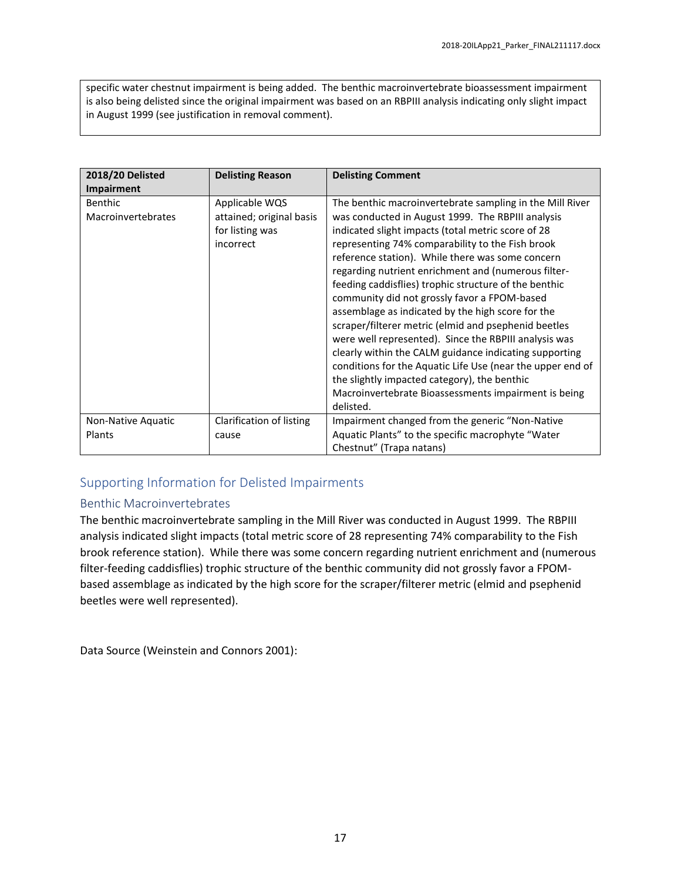specific water chestnut impairment is being added. The benthic macroinvertebrate bioassessment impairment is also being delisted since the original impairment was based on an RBPIII analysis indicating only slight impact in August 1999 (see justification in removal comment).

| 2018/20 Delisted<br><b>Impairment</b> | <b>Delisting Reason</b>                                                    | <b>Delisting Comment</b>                                                                                                                                                                                                                                                                                                                                                                                                                                                                                                                                                                                                                                                                                                                                                                                                                                       |
|---------------------------------------|----------------------------------------------------------------------------|----------------------------------------------------------------------------------------------------------------------------------------------------------------------------------------------------------------------------------------------------------------------------------------------------------------------------------------------------------------------------------------------------------------------------------------------------------------------------------------------------------------------------------------------------------------------------------------------------------------------------------------------------------------------------------------------------------------------------------------------------------------------------------------------------------------------------------------------------------------|
| Benthic<br>Macroinvertebrates         | Applicable WQS<br>attained; original basis<br>for listing was<br>incorrect | The benthic macroinvertebrate sampling in the Mill River<br>was conducted in August 1999. The RBPIII analysis<br>indicated slight impacts (total metric score of 28<br>representing 74% comparability to the Fish brook<br>reference station). While there was some concern<br>regarding nutrient enrichment and (numerous filter-<br>feeding caddisflies) trophic structure of the benthic<br>community did not grossly favor a FPOM-based<br>assemblage as indicated by the high score for the<br>scraper/filterer metric (elmid and psephenid beetles<br>were well represented). Since the RBPIII analysis was<br>clearly within the CALM guidance indicating supporting<br>conditions for the Aquatic Life Use (near the upper end of<br>the slightly impacted category), the benthic<br>Macroinvertebrate Bioassessments impairment is being<br>delisted. |
| Non-Native Aquatic<br>Plants          | Clarification of listing<br>cause                                          | Impairment changed from the generic "Non-Native"<br>Aquatic Plants" to the specific macrophyte "Water<br>Chestnut" (Trapa natans)                                                                                                                                                                                                                                                                                                                                                                                                                                                                                                                                                                                                                                                                                                                              |

## <span id="page-17-0"></span>Supporting Information for Delisted Impairments

## Benthic Macroinvertebrates

The benthic macroinvertebrate sampling in the Mill River was conducted in August 1999. The RBPIII analysis indicated slight impacts (total metric score of 28 representing 74% comparability to the Fish brook reference station). While there was some concern regarding nutrient enrichment and (numerous filter-feeding caddisflies) trophic structure of the benthic community did not grossly favor a FPOMbased assemblage as indicated by the high score for the scraper/filterer metric (elmid and psephenid beetles were well represented).

Data Source (Weinstein and Connors 2001):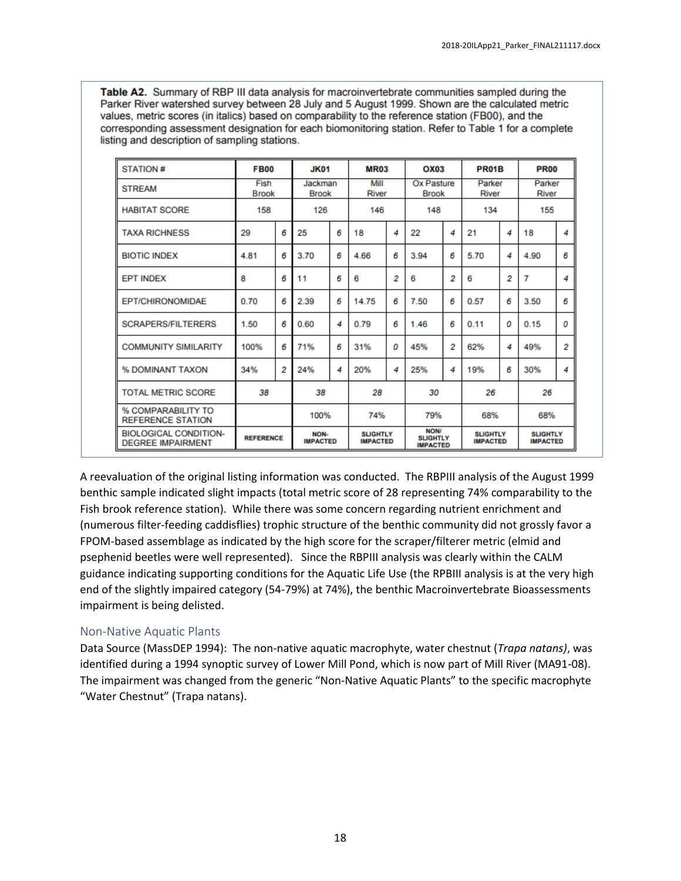Table A2. Summary of RBP III data analysis for macroinvertebrate communities sampled during the Parker River watershed survey between 28 July and 5 August 1999. Shown are the calculated metric values, metric scores (in italics) based on comparability to the reference station (FB00), and the corresponding assessment designation for each biomonitoring station. Refer to Table 1 for a complete listing and description of sampling stations.

| <b>STATION#</b>                                          | <b>FB00</b>          |   | <b>JK01</b>             |   | <b>MR03</b>                        |   | OX03                                              |   | <b>PR01B</b>                       |   | <b>PR00</b>                        |   |
|----------------------------------------------------------|----------------------|---|-------------------------|---|------------------------------------|---|---------------------------------------------------|---|------------------------------------|---|------------------------------------|---|
| <b>STREAM</b>                                            | Fish<br><b>Brook</b> |   | Jackman<br><b>Brook</b> |   | Mill<br>River                      |   | <b>Ox Pasture</b><br><b>Brook</b>                 |   | Parker<br>River                    |   | Parker<br><b>River</b>             |   |
| <b>HABITAT SCORE</b>                                     | 158                  |   | 126                     |   | 146                                |   | 148                                               |   | 134                                |   | 155                                |   |
| <b>TAXA RICHNESS</b>                                     | 29                   | 6 | 25                      | 6 | 18                                 | 4 | 22                                                | 4 | 21                                 | 4 | 18                                 | 4 |
| <b>BIOTIC INDEX</b>                                      | 4.81                 | 6 | 3.70                    | 6 | 4.66                               | 6 | 3.94                                              | 6 | 5.70                               | 4 | 4.90                               | 6 |
| <b>EPT INDEX</b>                                         | 8                    | 6 | 11                      | 6 | 6                                  | 2 | 6                                                 | 2 | 6                                  | 2 | 7                                  | 4 |
| <b>EPT/CHIRONOMIDAE</b>                                  | 0.70                 | 6 | 2.39                    | 6 | 14.75                              | 6 | 7.50                                              | 6 | 0.57                               | 6 | 3.50                               | 6 |
| <b>SCRAPERS/FILTERERS</b>                                | 1.50                 | 6 | 0.60                    | 4 | 0.79                               | 6 | 1.46                                              | 6 | 0.11                               | 0 | 0.15                               | 0 |
| <b>COMMUNITY SIMILARITY</b>                              | 100%                 | 6 | 71%                     | 6 | 31%                                | ο | 45%                                               | 2 | 62%                                | 4 | 49%                                | 2 |
| <b>% DOMINANT TAXON</b>                                  | 34%                  | 2 | 24%                     | 4 | 20%                                | 4 | 25%                                               | 4 | 19%                                | 6 | 30%                                | 4 |
| <b>TOTAL METRIC SCORE</b>                                | 38                   |   | 38                      |   | 28                                 |   | 30                                                |   | 26                                 |   | 26                                 |   |
| % COMPARABILITY TO<br><b>REFERENCE STATION</b>           |                      |   | 100%                    |   | 74%                                |   | 79%                                               |   | 68%                                |   | 68%                                |   |
| <b>BIOLOGICAL CONDITION-</b><br><b>DEGREE IMPAIRMENT</b> | <b>REFERENCE</b>     |   | NON-<br><b>IMPACTED</b> |   | <b>SLIGHTLY</b><br><b>IMPACTED</b> |   | <b>NON/</b><br><b>SLIGHTLY</b><br><b>IMPACTED</b> |   | <b>SLIGHTLY</b><br><b>IMPACTED</b> |   | <b>SLIGHTLY</b><br><b>IMPACTED</b> |   |

A reevaluation of the original listing information was conducted. The RBPIII analysis of the August 1999 benthic sample indicated slight impacts (total metric score of 28 representing 74% comparability to the Fish brook reference station). While there was some concern regarding nutrient enrichment and (numerous filter-feeding caddisflies) trophic structure of the benthic community did not grossly favor a FPOM-based assemblage as indicated by the high score for the scraper/filterer metric (elmid and psephenid beetles were well represented). Since the RBPIII analysis was clearly within the CALM guidance indicating supporting conditions for the Aquatic Life Use (the RPBIII analysis is at the very high end of the slightly impaired category (54-79%) at 74%), the benthic Macroinvertebrate Bioassessments impairment is being delisted.

## Non-Native Aquatic Plants

Data Source (MassDEP 1994): The non-native aquatic macrophyte, water chestnut (*Trapa natans)*, was identified during a 1994 synoptic survey of Lower Mill Pond, which is now part of Mill River (MA91-08). The impairment was changed from the generic "Non-Native Aquatic Plants" to the specific macrophyte "Water Chestnut" (Trapa natans).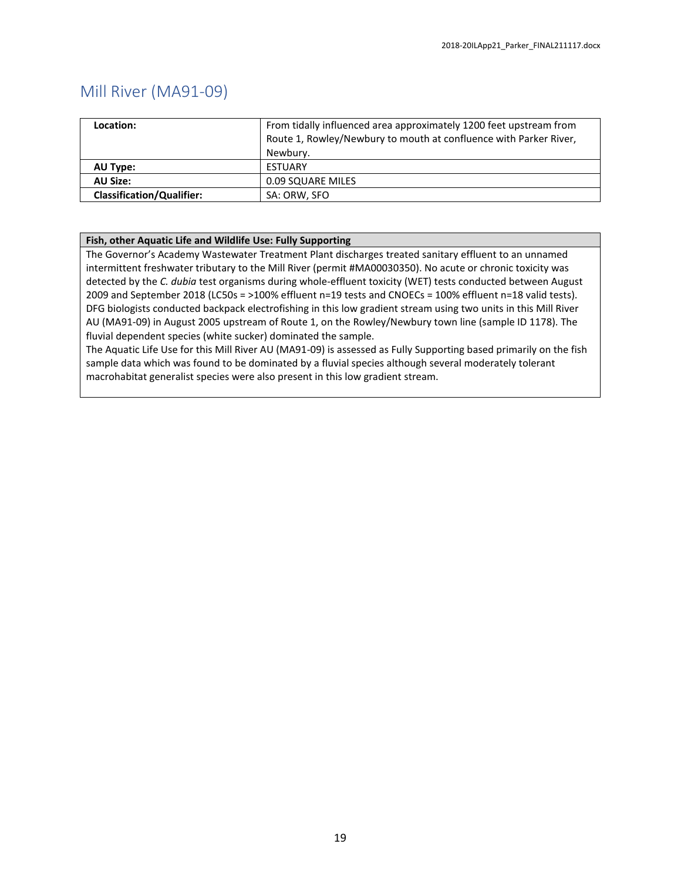## <span id="page-19-0"></span>Mill River (MA91-09)

| Location:                        | From tidally influenced area approximately 1200 feet upstream from<br>Route 1, Rowley/Newbury to mouth at confluence with Parker River,<br>Newbury. |
|----------------------------------|-----------------------------------------------------------------------------------------------------------------------------------------------------|
| AU Type:                         | <b>ESTUARY</b>                                                                                                                                      |
| <b>AU Size:</b>                  | 0.09 SQUARE MILES                                                                                                                                   |
| <b>Classification/Qualifier:</b> | SA: ORW, SFO                                                                                                                                        |

### **Fish, other Aquatic Life and Wildlife Use: Fully Supporting**

The Governor's Academy Wastewater Treatment Plant discharges treated sanitary effluent to an unnamed intermittent freshwater tributary to the Mill River (permit #MA00030350). No acute or chronic toxicity was detected by the *C. dubia* test organisms during whole-effluent toxicity (WET) tests conducted between August 2009 and September 2018 (LC50s = >100% effluent n=19 tests and CNOECs = 100% effluent n=18 valid tests). DFG biologists conducted backpack electrofishing in this low gradient stream using two units in this Mill River AU (MA91-09) in August 2005 upstream of Route 1, on the Rowley/Newbury town line (sample ID 1178). The fluvial dependent species (white sucker) dominated the sample.

The Aquatic Life Use for this Mill River AU (MA91-09) is assessed as Fully Supporting based primarily on the fish sample data which was found to be dominated by a fluvial species although several moderately tolerant macrohabitat generalist species were also present in this low gradient stream.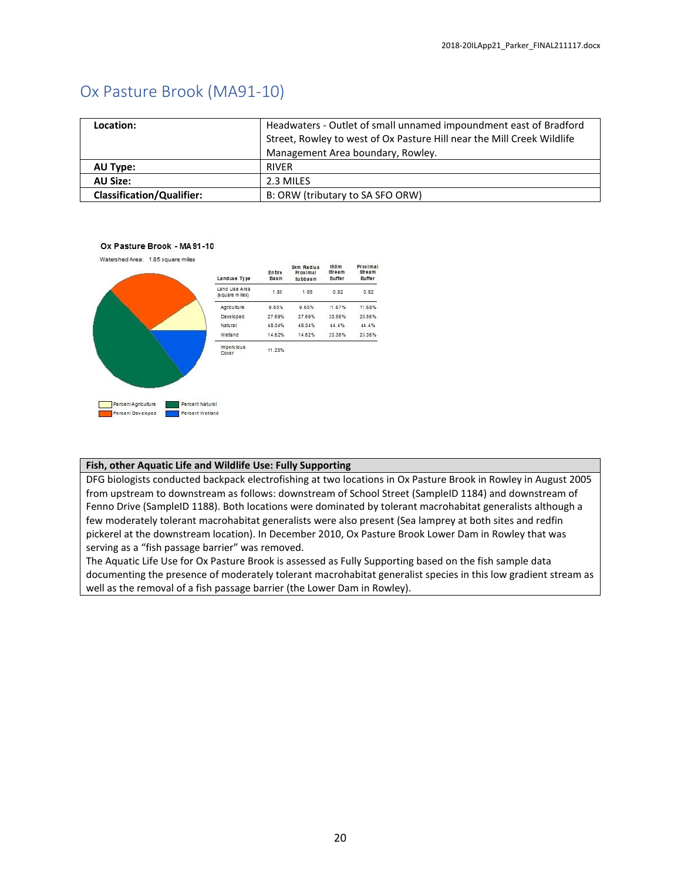## <span id="page-20-0"></span>Ox Pasture Brook (MA91-10)

| Location:                        | Headwaters - Outlet of small unnamed impoundment east of Bradford      |
|----------------------------------|------------------------------------------------------------------------|
|                                  | Street, Rowley to west of Ox Pasture Hill near the Mill Creek Wildlife |
|                                  | Management Area boundary, Rowley.                                      |
| AU Type:                         | <b>RIVER</b>                                                           |
| <b>AU Size:</b>                  | 2.3 MILES                                                              |
| <b>Classification/Qualifier:</b> | B: ORW (tributary to SA SFO ORW)                                       |

Buffer

 $0.82$ 

44.4%

#### Ox Pasture Brook - MA91-10

Watershed Area: 1.85 square miles

Percent Developed



## **Fish, other Aquatic Life and Wildlife Use: Fully Supporting**

Percent Wetland

DFG biologists conducted backpack electrofishing at two locations in Ox Pasture Brook in Rowley in August 2005 from upstream to downstream as follows: downstream of School Street (SampleID 1184) and downstream of Fenno Drive (SampleID 1188). Both locations were dominated by tolerant macrohabitat generalists although a few moderately tolerant macrohabitat generalists were also present (Sea lamprey at both sites and redfin pickerel at the downstream location). In December 2010, Ox Pasture Brook Lower Dam in Rowley that was serving as a "fish passage barrier" was removed.

The Aquatic Life Use for Ox Pasture Brook is assessed as Fully Supporting based on the fish sample data documenting the presence of moderately tolerant macrohabitat generalist species in this low gradient stream as well as the removal of a fish passage barrier (the Lower Dam in Rowley).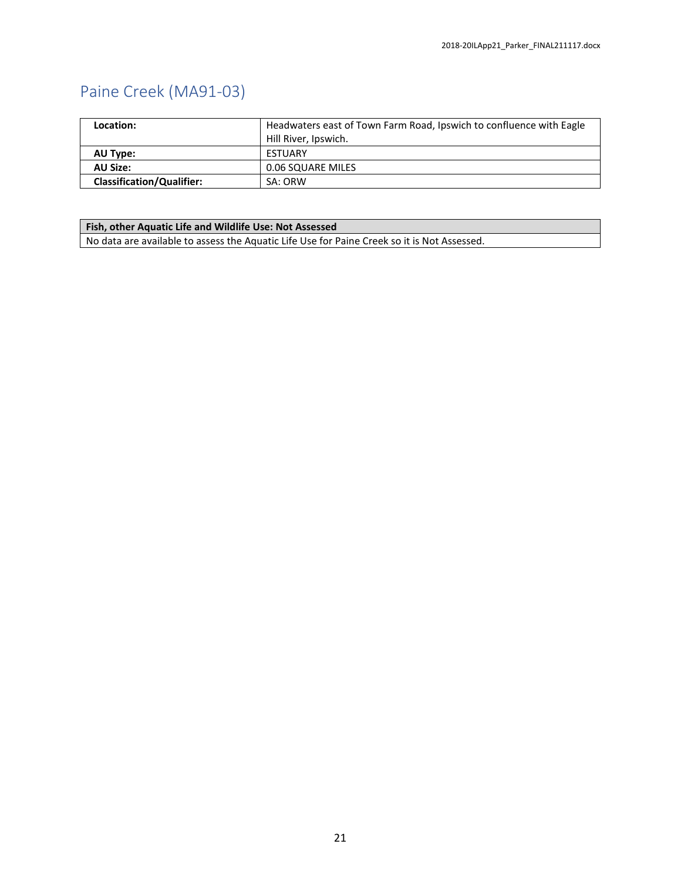# <span id="page-21-0"></span>Paine Creek (MA91-03)

| Location:                        | Headwaters east of Town Farm Road, Ipswich to confluence with Eagle |  |  |  |
|----------------------------------|---------------------------------------------------------------------|--|--|--|
|                                  | Hill River, Ipswich.                                                |  |  |  |
| AU Type:                         | <b>ESTUARY</b>                                                      |  |  |  |
| <b>AU Size:</b>                  | 0.06 SQUARE MILES                                                   |  |  |  |
| <b>Classification/Qualifier:</b> | SA: ORW                                                             |  |  |  |

## **Fish, other Aquatic Life and Wildlife Use: Not Assessed**

No data are available to assess the Aquatic Life Use for Paine Creek so it is Not Assessed.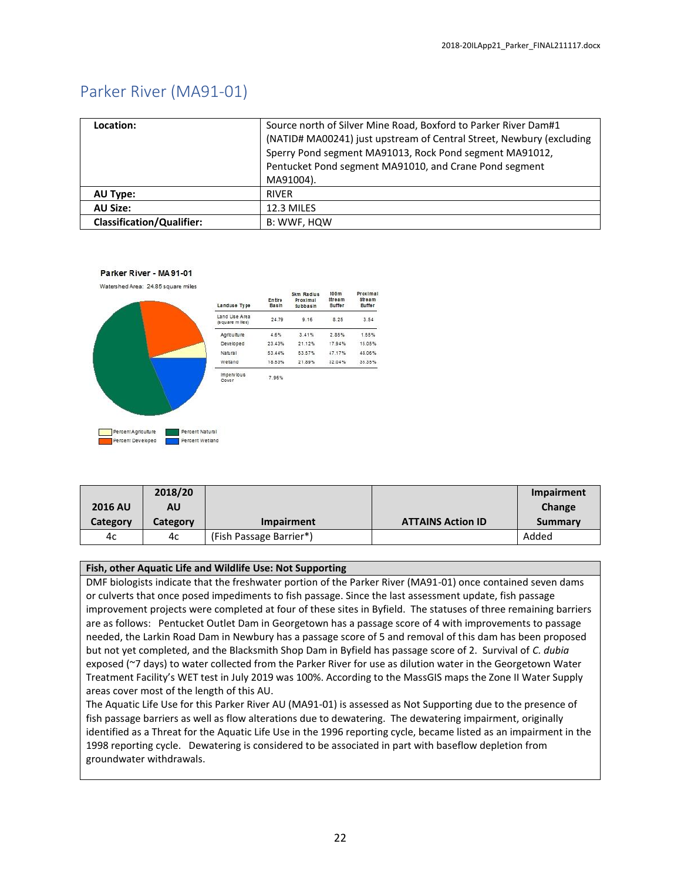## <span id="page-22-0"></span>Parker River (MA91-01)

| Location:                        | Source north of Silver Mine Road, Boxford to Parker River Dam#1<br>(NATID# MA00241) just upstream of Central Street, Newbury (excluding<br>Sperry Pond segment MA91013, Rock Pond segment MA91012,<br>Pentucket Pond segment MA91010, and Crane Pond segment<br>MA91004). |
|----------------------------------|---------------------------------------------------------------------------------------------------------------------------------------------------------------------------------------------------------------------------------------------------------------------------|
| AU Type:                         | <b>RIVER</b>                                                                                                                                                                                                                                                              |
| <b>AU Size:</b>                  | 12.3 MILES                                                                                                                                                                                                                                                                |
| <b>Classification/Qualifier:</b> | B: WWF, HQW                                                                                                                                                                                                                                                               |

#### Parker River - MA 91-01

Watershed Area: 24.85 square miles



| Landuse Type                    | Entire<br>Basin | 5km Radius<br>Proximal<br><b>Subbasin</b> | 100m<br><b>stream</b><br>Buffer | Proximal<br><b>stream</b><br>Buffer |
|---------------------------------|-----------------|-------------------------------------------|---------------------------------|-------------------------------------|
| Land Use Area<br>(square miles) | 24.79           | 9.16                                      | 8.25                            | 3.54                                |
| Agriculture                     | 4.6%            | 3.41%                                     | 2.85%                           | 1.55%                               |
| Developed                       | 23.43%          | 21.12%                                    | 17.94%                          | 15.05%                              |
| Natural                         | 53.44%          | 53.57%                                    | 47.17%                          | 48.06%                              |
| Wetland                         | 18.53%          | 21.89%                                    | 32.04%                          | 35.35%                              |
| impervious<br>Cover             | 7.96%           |                                           |                                 |                                     |

|                | 2018/20  |                         |                          | Impairment |
|----------------|----------|-------------------------|--------------------------|------------|
| <b>2016 AU</b> | AU       |                         |                          | Change     |
| Category       | Category | <b>Impairment</b>       | <b>ATTAINS Action ID</b> | Summary    |
| 4c             | 4c       | (Fish Passage Barrier*) |                          | Added      |

#### **Fish, other Aquatic Life and Wildlife Use: Not Supporting**

DMF biologists indicate that the freshwater portion of the Parker River (MA91-01) once contained seven dams or culverts that once posed impediments to fish passage. Since the last assessment update, fish passage improvement projects were completed at four of these sites in Byfield. The statuses of three remaining barriers are as follows: Pentucket Outlet Dam in Georgetown has a passage score of 4 with improvements to passage needed, the Larkin Road Dam in Newbury has a passage score of 5 and removal of this dam has been proposed but not yet completed, and the Blacksmith Shop Dam in Byfield has passage score of 2. Survival of *C. dubia* exposed (~7 days) to water collected from the Parker River for use as dilution water in the Georgetown Water Treatment Facility's WET test in July 2019 was 100%. According to the MassGIS maps the Zone II Water Supply areas cover most of the length of this AU.

The Aquatic Life Use for this Parker River AU (MA91-01) is assessed as Not Supporting due to the presence of fish passage barriers as well as flow alterations due to dewatering. The dewatering impairment, originally identified as a Threat for the Aquatic Life Use in the 1996 reporting cycle, became listed as an impairment in the 1998 reporting cycle. Dewatering is considered to be associated in part with baseflow depletion from groundwater withdrawals.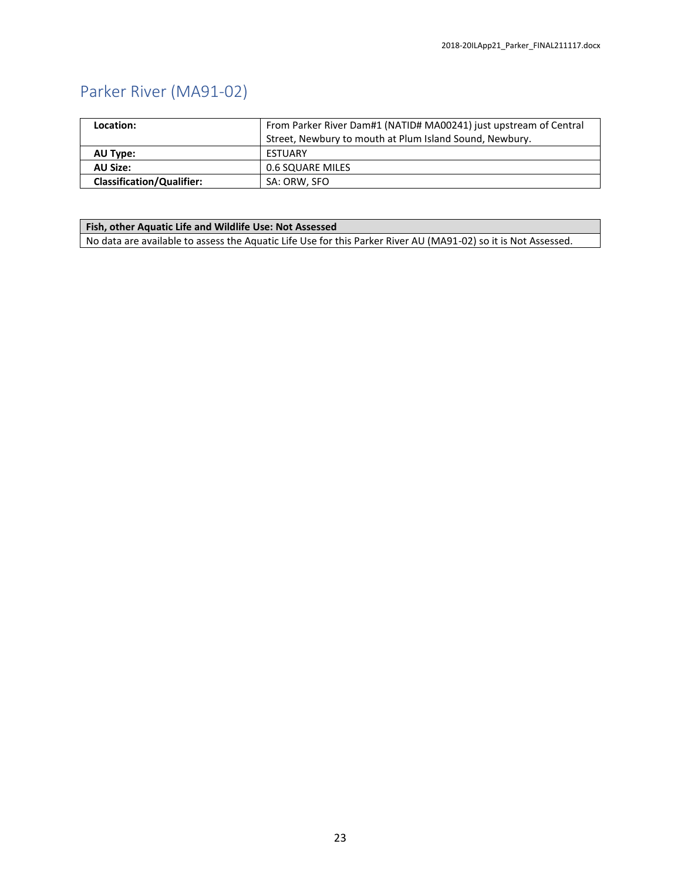# <span id="page-23-0"></span>Parker River (MA91-02)

| Location:                        | From Parker River Dam#1 (NATID# MA00241) just upstream of Central |  |  |
|----------------------------------|-------------------------------------------------------------------|--|--|
|                                  | Street, Newbury to mouth at Plum Island Sound, Newbury.           |  |  |
| AU Type:                         | <b>ESTUARY</b>                                                    |  |  |
| <b>AU Size:</b>                  | 0.6 SQUARE MILES                                                  |  |  |
| <b>Classification/Qualifier:</b> | SA: ORW, SFO                                                      |  |  |

### **Fish, other Aquatic Life and Wildlife Use: Not Assessed**

No data are available to assess the Aquatic Life Use for this Parker River AU (MA91-02) so it is Not Assessed.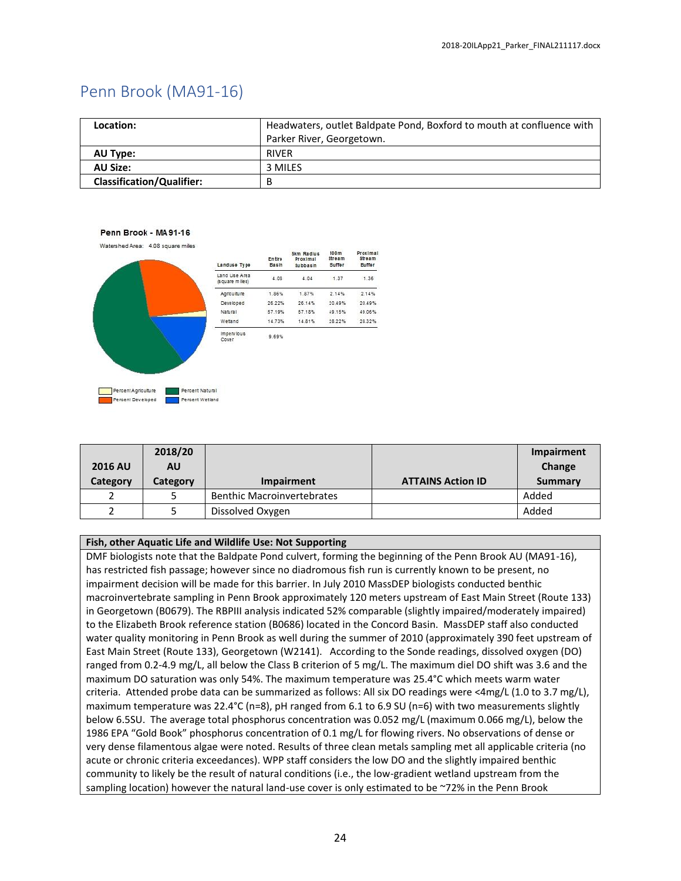## <span id="page-24-0"></span>Penn Brook (MA91-16)

| Location:                        | Headwaters, outlet Baldpate Pond, Boxford to mouth at confluence with |
|----------------------------------|-----------------------------------------------------------------------|
|                                  | Parker River, Georgetown.                                             |
| AU Type:                         | <b>RIVER</b>                                                          |
| <b>AU Size:</b>                  | 3 MILES                                                               |
| <b>Classification/Qualifier:</b> |                                                                       |

#### Penn Brook - MA91-16

Watershed Area: 4.08 square miles





| Percent Natural |  |
|-----------------|--|

| <b>2016 AU</b><br>Category | 2018/20<br><b>AU</b><br>Category | <b>Impairment</b>                 | <b>ATTAINS Action ID</b> | Impairment<br>Change<br>Summary |
|----------------------------|----------------------------------|-----------------------------------|--------------------------|---------------------------------|
|                            |                                  | <b>Benthic Macroinvertebrates</b> |                          | Added                           |
|                            |                                  | Dissolved Oxygen                  |                          | Added                           |

### **Fish, other Aquatic Life and Wildlife Use: Not Supporting**

DMF biologists note that the Baldpate Pond culvert, forming the beginning of the Penn Brook AU (MA91-16), has restricted fish passage; however since no diadromous fish run is currently known to be present, no impairment decision will be made for this barrier. In July 2010 MassDEP biologists conducted benthic macroinvertebrate sampling in Penn Brook approximately 120 meters upstream of East Main Street (Route 133) in Georgetown (B0679). The RBPIII analysis indicated 52% comparable (slightly impaired/moderately impaired) to the Elizabeth Brook reference station (B0686) located in the Concord Basin. MassDEP staff also conducted water quality monitoring in Penn Brook as well during the summer of 2010 (approximately 390 feet upstream of East Main Street (Route 133), Georgetown (W2141). According to the Sonde readings, dissolved oxygen (DO) ranged from 0.2-4.9 mg/L, all below the Class B criterion of 5 mg/L. The maximum diel DO shift was 3.6 and the maximum DO saturation was only 54%. The maximum temperature was 25.4°C which meets warm water criteria. Attended probe data can be summarized as follows: All six DO readings were <4mg/L (1.0 to 3.7 mg/L), maximum temperature was 22.4°C (n=8), pH ranged from 6.1 to 6.9 SU (n=6) with two measurements slightly below 6.5SU. The average total phosphorus concentration was 0.052 mg/L (maximum 0.066 mg/L), below the 1986 EPA "Gold Book" phosphorus concentration of 0.1 mg/L for flowing rivers. No observations of dense or very dense filamentous algae were noted. Results of three clean metals sampling met all applicable criteria (no acute or chronic criteria exceedances). WPP staff considers the low DO and the slightly impaired benthic community to likely be the result of natural conditions (i.e., the low-gradient wetland upstream from the sampling location) however the natural land-use cover is only estimated to be ~72% in the Penn Brook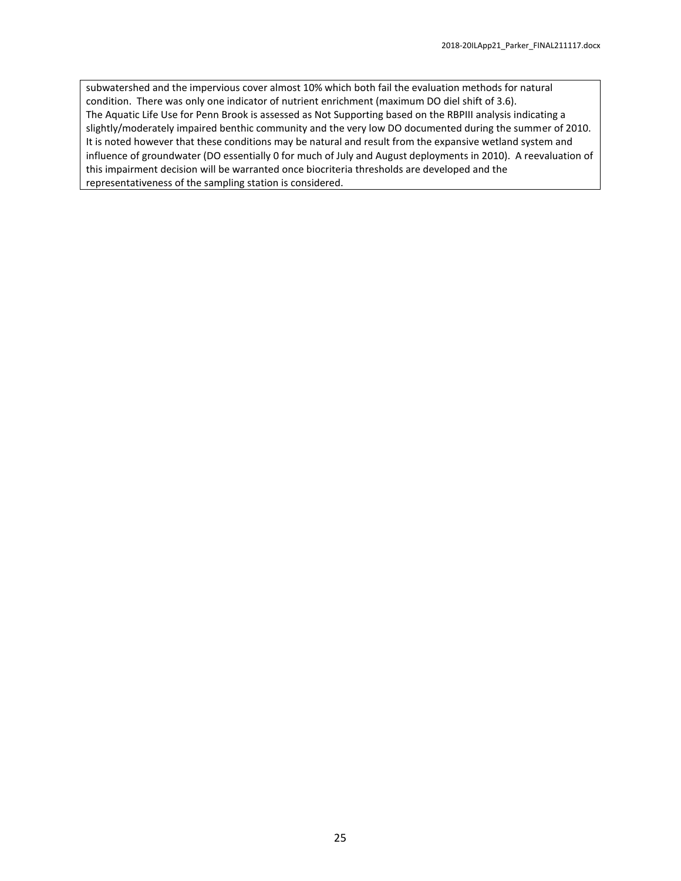subwatershed and the impervious cover almost 10% which both fail the evaluation methods for natural condition. There was only one indicator of nutrient enrichment (maximum DO diel shift of 3.6). The Aquatic Life Use for Penn Brook is assessed as Not Supporting based on the RBPIII analysis indicating a slightly/moderately impaired benthic community and the very low DO documented during the summer of 2010. It is noted however that these conditions may be natural and result from the expansive wetland system and influence of groundwater (DO essentially 0 for much of July and August deployments in 2010). A reevaluation of this impairment decision will be warranted once biocriteria thresholds are developed and the representativeness of the sampling station is considered.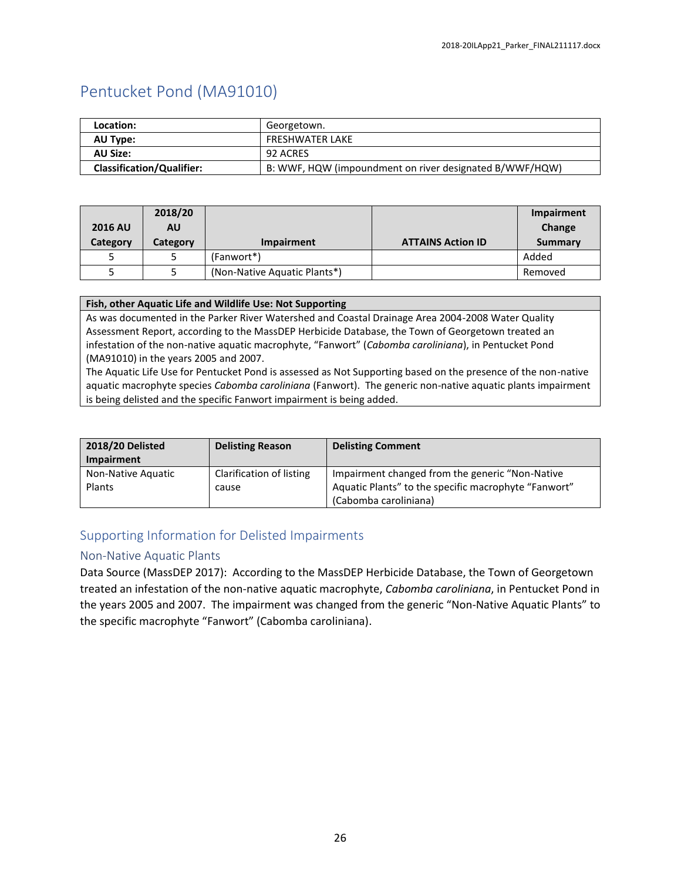# <span id="page-26-0"></span>Pentucket Pond (MA91010)

| Location:                        | Georgetown.                                             |  |
|----------------------------------|---------------------------------------------------------|--|
| AU Type:                         | FRESHWATER LAKE                                         |  |
| <b>AU Size:</b>                  | 92 ACRES                                                |  |
| <b>Classification/Qualifier:</b> | B: WWF, HQW (impoundment on river designated B/WWF/HQW) |  |

| <b>2016 AU</b><br>Category | 2018/20<br><b>AU</b><br>Category | Impairment                   | <b>ATTAINS Action ID</b> | Impairment<br>Change<br>Summary |
|----------------------------|----------------------------------|------------------------------|--------------------------|---------------------------------|
|                            |                                  | (Fanwort*)                   |                          | Added                           |
|                            |                                  | (Non-Native Aquatic Plants*) |                          | Removed                         |

### **Fish, other Aquatic Life and Wildlife Use: Not Supporting**

As was documented in the Parker River Watershed and Coastal Drainage Area 2004-2008 Water Quality Assessment Report, according to the MassDEP Herbicide Database, the Town of Georgetown treated an infestation of the non-native aquatic macrophyte, "Fanwort" (*Cabomba caroliniana*), in Pentucket Pond (MA91010) in the years 2005 and 2007.

The Aquatic Life Use for Pentucket Pond is assessed as Not Supporting based on the presence of the non-native aquatic macrophyte species *Cabomba caroliniana* (Fanwort). The generic non-native aquatic plants impairment is being delisted and the specific Fanwort impairment is being added.

| 2018/20 Delisted<br>Impairment | <b>Delisting Reason</b>  | <b>Delisting Comment</b>                             |
|--------------------------------|--------------------------|------------------------------------------------------|
| Non-Native Aquatic             | Clarification of listing | Impairment changed from the generic "Non-Native"     |
| Plants                         | cause                    | Aquatic Plants" to the specific macrophyte "Fanwort" |
|                                |                          | (Cabomba caroliniana)                                |

## <span id="page-26-1"></span>Supporting Information for Delisted Impairments

## Non-Native Aquatic Plants

Data Source (MassDEP 2017): According to the MassDEP Herbicide Database, the Town of Georgetown treated an infestation of the non-native aquatic macrophyte, *Cabomba caroliniana*, in Pentucket Pond in the years 2005 and 2007. The impairment was changed from the generic "Non-Native Aquatic Plants" to the specific macrophyte "Fanwort" (Cabomba caroliniana).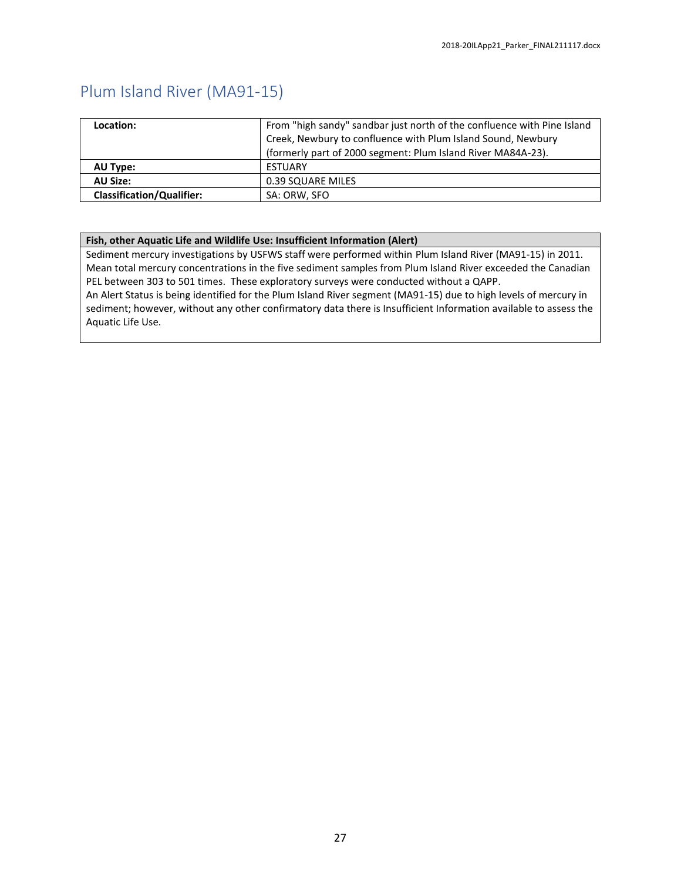## <span id="page-27-0"></span>Plum Island River (MA91-15)

| Location:                        | From "high sandy" sandbar just north of the confluence with Pine Island |  |
|----------------------------------|-------------------------------------------------------------------------|--|
|                                  | Creek, Newbury to confluence with Plum Island Sound, Newbury            |  |
|                                  | (formerly part of 2000 segment: Plum Island River MA84A-23).            |  |
| AU Type:                         | <b>ESTUARY</b>                                                          |  |
| <b>AU Size:</b>                  | 0.39 SQUARE MILES                                                       |  |
| <b>Classification/Qualifier:</b> | SA: ORW, SFO                                                            |  |

### **Fish, other Aquatic Life and Wildlife Use: Insufficient Information (Alert)**

Sediment mercury investigations by USFWS staff were performed within Plum Island River (MA91-15) in 2011. Mean total mercury concentrations in the five sediment samples from Plum Island River exceeded the Canadian PEL between 303 to 501 times. These exploratory surveys were conducted without a QAPP. An Alert Status is being identified for the Plum Island River segment (MA91-15) due to high levels of mercury in sediment; however, without any other confirmatory data there is Insufficient Information available to assess the Aquatic Life Use.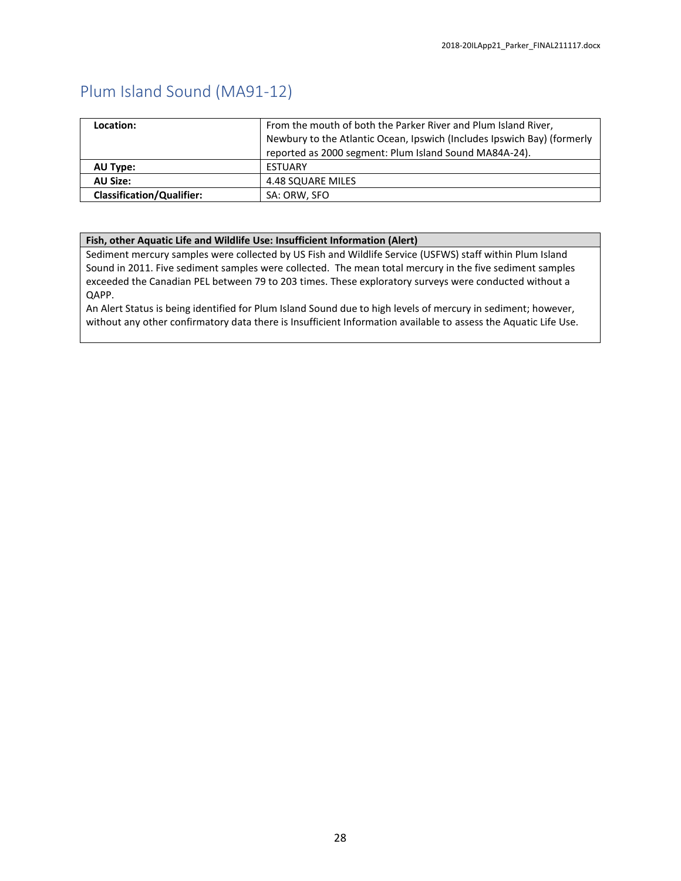## <span id="page-28-0"></span>Plum Island Sound (MA91-12)

| Location:                        | From the mouth of both the Parker River and Plum Island River,          |  |
|----------------------------------|-------------------------------------------------------------------------|--|
|                                  | Newbury to the Atlantic Ocean, Ipswich (Includes Ipswich Bay) (formerly |  |
|                                  | reported as 2000 segment: Plum Island Sound MA84A-24).                  |  |
| AU Type:                         | ESTUARY                                                                 |  |
| AU Size:                         | 4.48 SQUARE MILES                                                       |  |
| <b>Classification/Qualifier:</b> | SA: ORW, SFO                                                            |  |

### **Fish, other Aquatic Life and Wildlife Use: Insufficient Information (Alert)**

Sediment mercury samples were collected by US Fish and Wildlife Service (USFWS) staff within Plum Island Sound in 2011. Five sediment samples were collected. The mean total mercury in the five sediment samples exceeded the Canadian PEL between 79 to 203 times. These exploratory surveys were conducted without a QAPP.

An Alert Status is being identified for Plum Island Sound due to high levels of mercury in sediment; however, without any other confirmatory data there is Insufficient Information available to assess the Aquatic Life Use.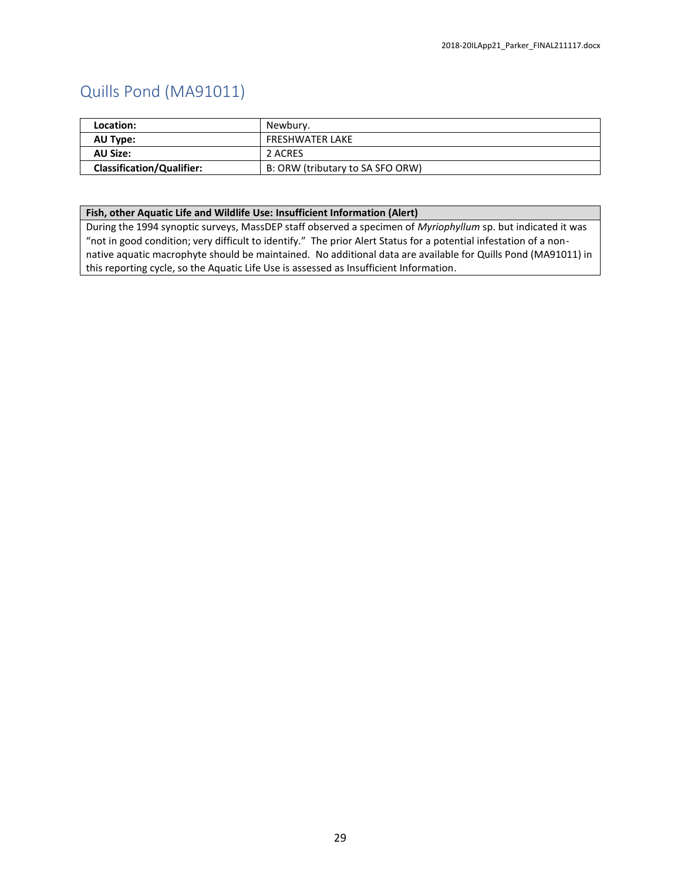## <span id="page-29-0"></span>Quills Pond (MA91011)

| Location:                        | Newbury.                         |
|----------------------------------|----------------------------------|
| AU Type:                         | FRESHWATER LAKE                  |
| <b>AU Size:</b>                  | 2 ACRES                          |
| <b>Classification/Qualifier:</b> | B: ORW (tributary to SA SFO ORW) |

### **Fish, other Aquatic Life and Wildlife Use: Insufficient Information (Alert)**

During the 1994 synoptic surveys, MassDEP staff observed a specimen of *Myriophyllum* sp. but indicated it was "not in good condition; very difficult to identify." The prior Alert Status for a potential infestation of a nonnative aquatic macrophyte should be maintained. No additional data are available for Quills Pond (MA91011) in this reporting cycle, so the Aquatic Life Use is assessed as Insufficient Information.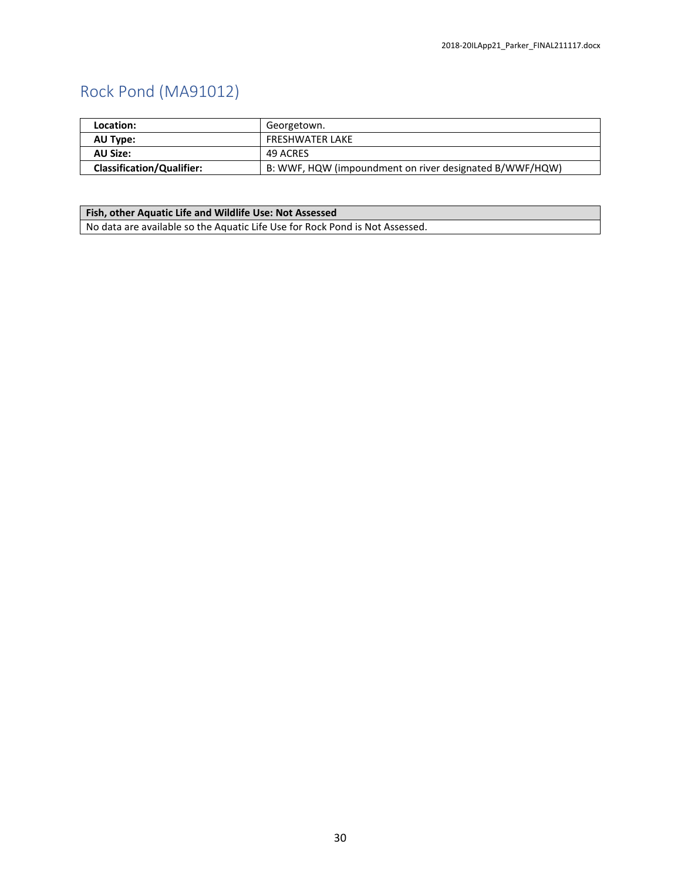# <span id="page-30-0"></span>Rock Pond (MA91012)

| Location:                        | Georgetown.                                             |  |
|----------------------------------|---------------------------------------------------------|--|
| AU Type:                         | <b>FRESHWATER LAKE</b>                                  |  |
| <b>AU Size:</b>                  | 49 ACRES                                                |  |
| <b>Classification/Qualifier:</b> | B: WWF, HQW (impoundment on river designated B/WWF/HQW) |  |

## **Fish, other Aquatic Life and Wildlife Use: Not Assessed**

No data are available so the Aquatic Life Use for Rock Pond is Not Assessed.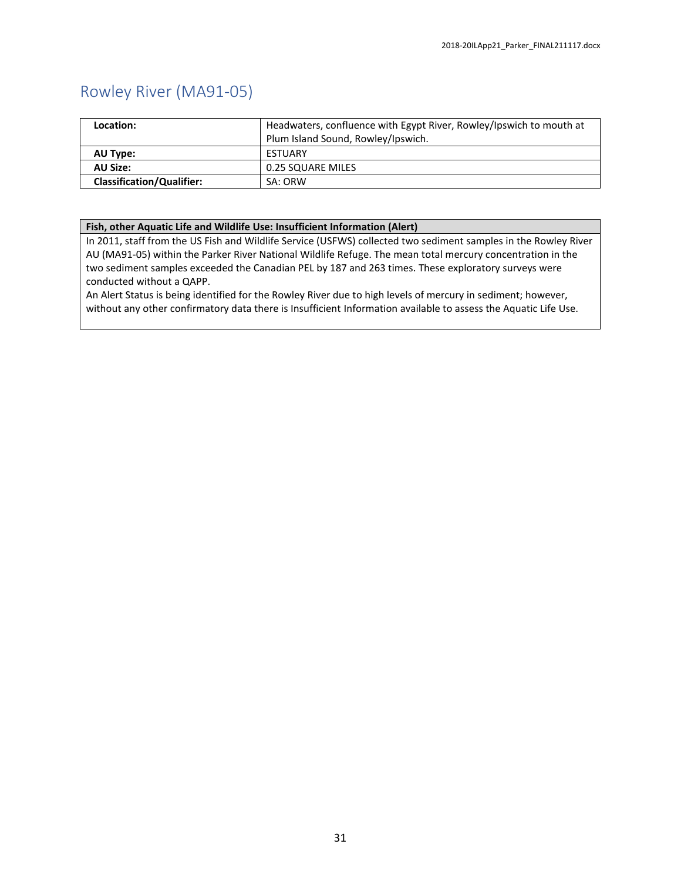## <span id="page-31-0"></span>Rowley River (MA91-05)

| Location:                        | Headwaters, confluence with Egypt River, Rowley/Ipswich to mouth at |  |
|----------------------------------|---------------------------------------------------------------------|--|
|                                  | Plum Island Sound, Rowley/Ipswich.                                  |  |
| AU Type:                         | <b>ESTUARY</b>                                                      |  |
| <b>AU Size:</b>                  | 0.25 SQUARE MILES                                                   |  |
| <b>Classification/Qualifier:</b> | SA: ORW                                                             |  |

### **Fish, other Aquatic Life and Wildlife Use: Insufficient Information (Alert)**

In 2011, staff from the US Fish and Wildlife Service (USFWS) collected two sediment samples in the Rowley River AU (MA91-05) within the Parker River National Wildlife Refuge. The mean total mercury concentration in the two sediment samples exceeded the Canadian PEL by 187 and 263 times. These exploratory surveys were conducted without a QAPP.

An Alert Status is being identified for the Rowley River due to high levels of mercury in sediment; however, without any other confirmatory data there is Insufficient Information available to assess the Aquatic Life Use.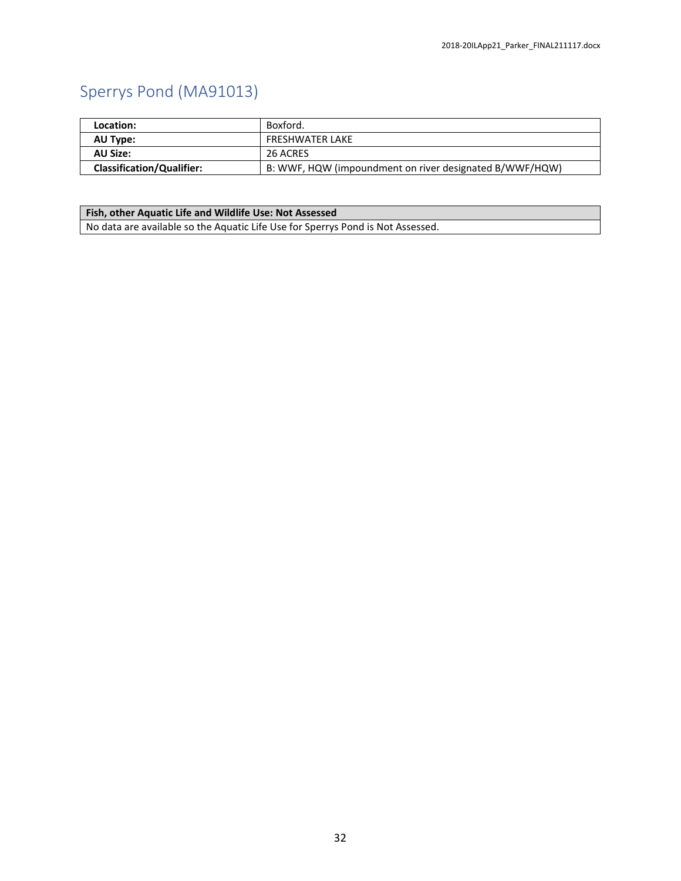# <span id="page-32-0"></span>Sperrys Pond (MA91013)

| Location:                        | Boxford.                                                |
|----------------------------------|---------------------------------------------------------|
| AU Type:                         | FRESHWATER LAKE                                         |
| AU Size:                         | 26 ACRES                                                |
| <b>Classification/Qualifier:</b> | B: WWF, HQW (impoundment on river designated B/WWF/HQW) |

### **Fish, other Aquatic Life and Wildlife Use: Not Assessed**

No data are available so the Aquatic Life Use for Sperrys Pond is Not Assessed.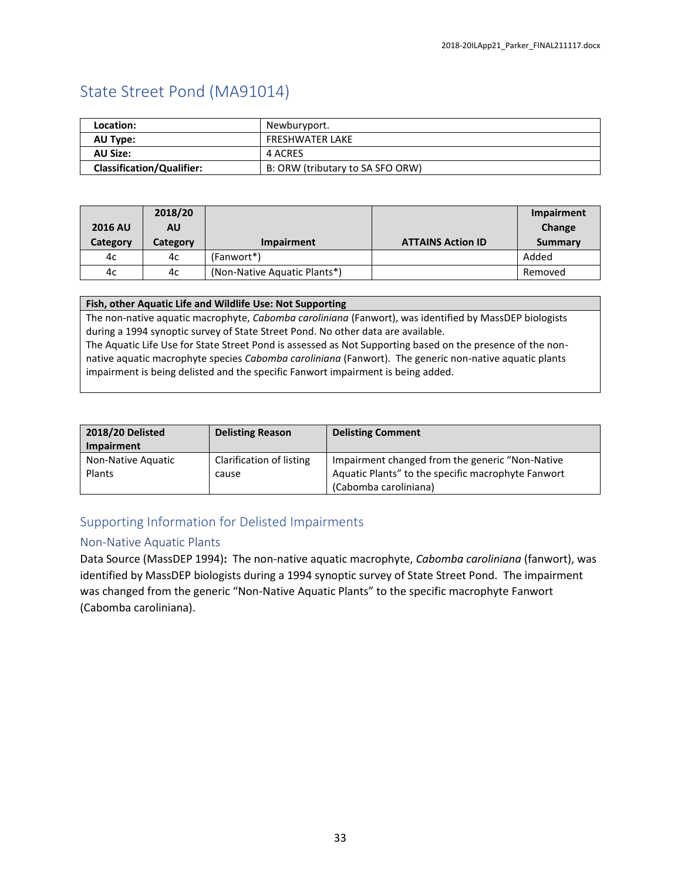## <span id="page-33-0"></span>State Street Pond (MA91014)

| Location:                        | Newburyport.                     |  |
|----------------------------------|----------------------------------|--|
| AU Type:                         | <b>FRESHWATER LAKE</b>           |  |
| <b>AU Size:</b>                  | 4 ACRES                          |  |
| <b>Classification/Qualifier:</b> | B: ORW (tributary to SA SFO ORW) |  |

| <b>2016 AU</b><br>Category | 2018/20<br>AU<br>Category | Impairment                   | <b>ATTAINS Action ID</b> | Impairment<br>Change<br>Summary |
|----------------------------|---------------------------|------------------------------|--------------------------|---------------------------------|
| 4c                         | 4c                        | (Fanwort*)                   |                          | Added                           |
| 4c                         | 4c                        | (Non-Native Aquatic Plants*) |                          | Removed                         |

## **Fish, other Aquatic Life and Wildlife Use: Not Supporting**

The non-native aquatic macrophyte, *Cabomba caroliniana* (Fanwort), was identified by MassDEP biologists during a 1994 synoptic survey of State Street Pond. No other data are available.

The Aquatic Life Use for State Street Pond is assessed as Not Supporting based on the presence of the nonnative aquatic macrophyte species *Cabomba caroliniana* (Fanwort). The generic non-native aquatic plants impairment is being delisted and the specific Fanwort impairment is being added.

| <b>2018/20 Delisted</b> | <b>Delisting Reason</b>  | <b>Delisting Comment</b>                           |
|-------------------------|--------------------------|----------------------------------------------------|
| Impairment              |                          |                                                    |
| Non-Native Aquatic      | Clarification of listing | Impairment changed from the generic "Non-Native"   |
| Plants                  | cause                    | Aquatic Plants" to the specific macrophyte Fanwort |
|                         |                          | (Cabomba caroliniana)                              |

## <span id="page-33-1"></span>Supporting Information for Delisted Impairments

## Non-Native Aquatic Plants

Data Source (MassDEP 1994)**:** The non-native aquatic macrophyte, *Cabomba caroliniana* (fanwort), was identified by MassDEP biologists during a 1994 synoptic survey of State Street Pond. The impairment was changed from the generic "Non-Native Aquatic Plants" to the specific macrophyte Fanwort (Cabomba caroliniana).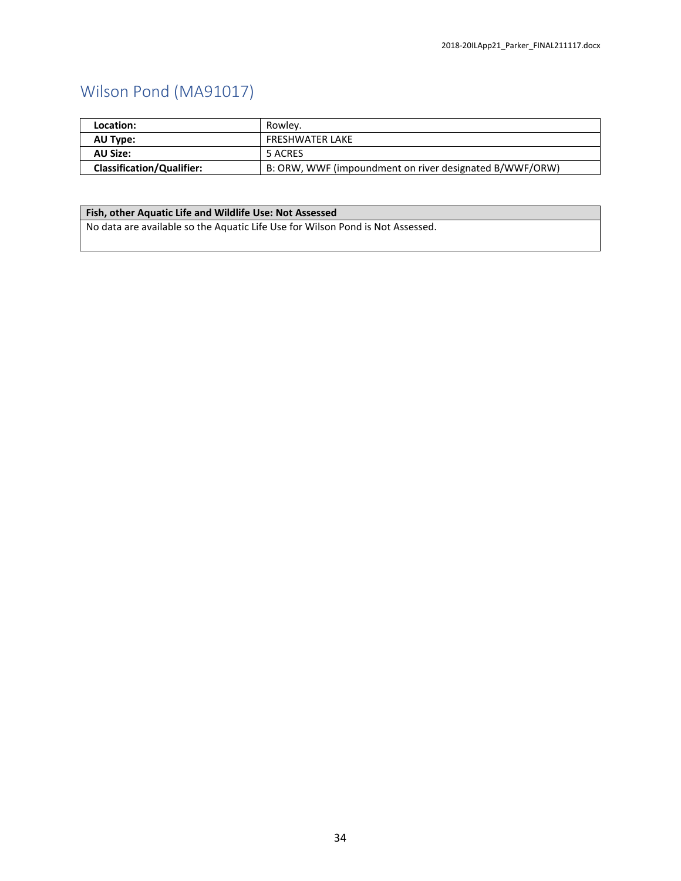# <span id="page-34-0"></span>Wilson Pond (MA91017)

| Location:                        | Rowley.                                                 |
|----------------------------------|---------------------------------------------------------|
| AU Type:                         | FRESHWATER LAKE                                         |
| AU Size:                         | 5 ACRES                                                 |
| <b>Classification/Qualifier:</b> | B: ORW, WWF (impoundment on river designated B/WWF/ORW) |

## **Fish, other Aquatic Life and Wildlife Use: Not Assessed**

No data are available so the Aquatic Life Use for Wilson Pond is Not Assessed.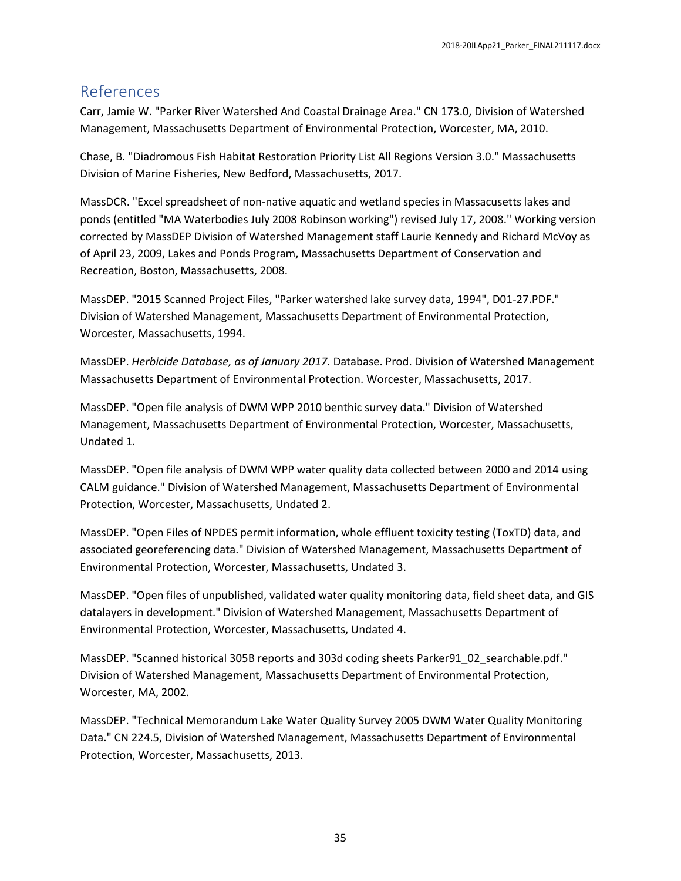## <span id="page-35-0"></span>References

Carr, Jamie W. "Parker River Watershed And Coastal Drainage Area." CN 173.0, Division of Watershed Management, Massachusetts Department of Environmental Protection, Worcester, MA, 2010.

Chase, B. "Diadromous Fish Habitat Restoration Priority List All Regions Version 3.0." Massachusetts Division of Marine Fisheries, New Bedford, Massachusetts, 2017.

MassDCR. "Excel spreadsheet of non-native aquatic and wetland species in Massacusetts lakes and ponds (entitled "MA Waterbodies July 2008 Robinson working") revised July 17, 2008." Working version corrected by MassDEP Division of Watershed Management staff Laurie Kennedy and Richard McVoy as of April 23, 2009, Lakes and Ponds Program, Massachusetts Department of Conservation and Recreation, Boston, Massachusetts, 2008.

MassDEP. "2015 Scanned Project Files, "Parker watershed lake survey data, 1994", D01-27.PDF." Division of Watershed Management, Massachusetts Department of Environmental Protection, Worcester, Massachusetts, 1994.

MassDEP. *Herbicide Database, as of January 2017.* Database. Prod. Division of Watershed Management Massachusetts Department of Environmental Protection. Worcester, Massachusetts, 2017.

MassDEP. "Open file analysis of DWM WPP 2010 benthic survey data." Division of Watershed Management, Massachusetts Department of Environmental Protection, Worcester, Massachusetts, Undated 1.

MassDEP. "Open file analysis of DWM WPP water quality data collected between 2000 and 2014 using CALM guidance." Division of Watershed Management, Massachusetts Department of Environmental Protection, Worcester, Massachusetts, Undated 2.

MassDEP. "Open Files of NPDES permit information, whole effluent toxicity testing (ToxTD) data, and associated georeferencing data." Division of Watershed Management, Massachusetts Department of Environmental Protection, Worcester, Massachusetts, Undated 3.

MassDEP. "Open files of unpublished, validated water quality monitoring data, field sheet data, and GIS datalayers in development." Division of Watershed Management, Massachusetts Department of Environmental Protection, Worcester, Massachusetts, Undated 4.

MassDEP. "Scanned historical 305B reports and 303d coding sheets Parker91\_02\_searchable.pdf." Division of Watershed Management, Massachusetts Department of Environmental Protection, Worcester, MA, 2002.

MassDEP. "Technical Memorandum Lake Water Quality Survey 2005 DWM Water Quality Monitoring Data." CN 224.5, Division of Watershed Management, Massachusetts Department of Environmental Protection, Worcester, Massachusetts, 2013.